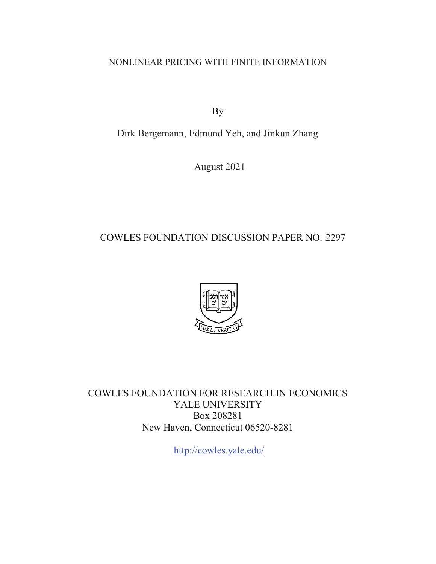NONLINEAR PRICING WITH FINITE INFORMATION

By

Dirk Bergemann, Edmund Yeh, and Jinkun Zhang

August 2021

## COWLES FOUNDATION DISCUSSION PAPER NO. 2297



COWLES FOUNDATION FOR RESEARCH IN ECONOMICS YALE UNIVERSITY Box 208281 New Haven, Connecticut 06520-8281

<http://cowles.yale.edu>/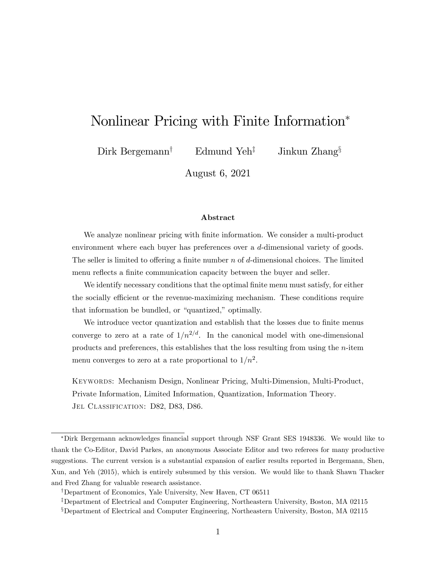# Nonlinear Pricing with Finite Information

Dirk Bergemann<sup>†</sup> Edmund Yeh<sup>‡</sup> Jinkun Zhang<sup>§</sup>

August 6, 2021

#### Abstract

We analyze nonlinear pricing with finite information. We consider a multi-product environment where each buyer has preferences over a d-dimensional variety of goods. The seller is limited to offering a finite number n of d-dimensional choices. The limited menu reflects a finite communication capacity between the buyer and seller.

We identify necessary conditions that the optimal finite menu must satisfy, for either the socially efficient or the revenue-maximizing mechanism. These conditions require that information be bundled, or "quantized," optimally.

We introduce vector quantization and establish that the losses due to finite menus converge to zero at a rate of  $1/n^{2/d}$ . In the canonical model with one-dimensional products and preferences, this establishes that the loss resulting from using the n-item menu converges to zero at a rate proportional to  $1/n^2$ .

Keywords: Mechanism Design, Nonlinear Pricing, Multi-Dimension, Multi-Product, Private Information, Limited Information, Quantization, Information Theory. JEL CLASSIFICATION: D82, D83, D86.

<sup>\*</sup>Dirk Bergemann acknowledges financial support through NSF Grant SES 1948336. We would like to thank the Co-Editor, David Parkes, an anonymous Associate Editor and two referees for many productive suggestions. The current version is a substantial expansion of earlier results reported in Bergemann, Shen, Xun, and Yeh (2015), which is entirely subsumed by this version. We would like to thank Shawn Thacker and Fred Zhang for valuable research assistance.

<sup>&</sup>lt;sup>†</sup>Department of Economics, Yale University, New Haven, CT 06511

<sup>&</sup>lt;sup>‡</sup>Department of Electrical and Computer Engineering, Northeastern University, Boston, MA 02115

 $\S$ Department of Electrical and Computer Engineering, Northeastern University, Boston, MA 02115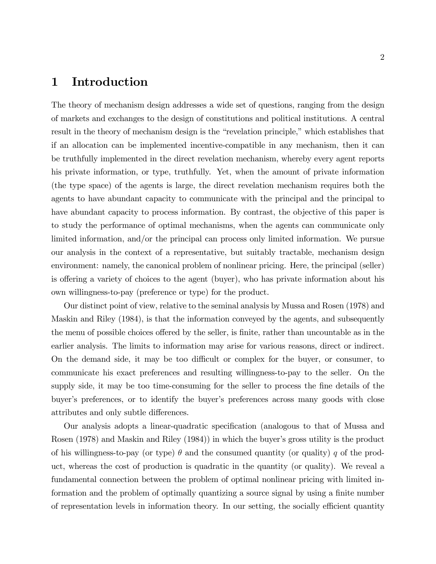## 1 Introduction

The theory of mechanism design addresses a wide set of questions, ranging from the design of markets and exchanges to the design of constitutions and political institutions. A central result in the theory of mechanism design is the "revelation principle," which establishes that if an allocation can be implemented incentive-compatible in any mechanism, then it can be truthfully implemented in the direct revelation mechanism, whereby every agent reports his private information, or type, truthfully. Yet, when the amount of private information (the type space) of the agents is large, the direct revelation mechanism requires both the agents to have abundant capacity to communicate with the principal and the principal to have abundant capacity to process information. By contrast, the objective of this paper is to study the performance of optimal mechanisms, when the agents can communicate only limited information, and/or the principal can process only limited information. We pursue our analysis in the context of a representative, but suitably tractable, mechanism design environment: namely, the canonical problem of nonlinear pricing. Here, the principal (seller) is offering a variety of choices to the agent (buyer), who has private information about his own willingness-to-pay (preference or type) for the product.

Our distinct point of view, relative to the seminal analysis by Mussa and Rosen (1978) and Maskin and Riley (1984), is that the information conveyed by the agents, and subsequently the menu of possible choices offered by the seller, is finite, rather than uncountable as in the earlier analysis. The limits to information may arise for various reasons, direct or indirect. On the demand side, it may be too difficult or complex for the buyer, or consumer, to communicate his exact preferences and resulting willingness-to-pay to the seller. On the supply side, it may be too time-consuming for the seller to process the fine details of the buyer's preferences, or to identify the buyer's preferences across many goods with close attributes and only subtle differences.

Our analysis adopts a linear-quadratic specification (analogous to that of Mussa and Rosen (1978) and Maskin and Riley (1984)) in which the buyer's gross utility is the product of his willingness-to-pay (or type)  $\theta$  and the consumed quantity (or quality) q of the product, whereas the cost of production is quadratic in the quantity (or quality). We reveal a fundamental connection between the problem of optimal nonlinear pricing with limited information and the problem of optimally quantizing a source signal by using a finite number of representation levels in information theory. In our setting, the socially efficient quantity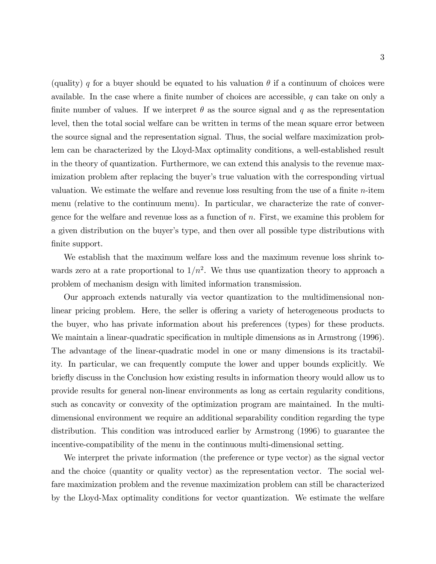(quality) q for a buyer should be equated to his valuation  $\theta$  if a continuum of choices were available. In the case where a finite number of choices are accessible,  $q$  can take on only a finite number of values. If we interpret  $\theta$  as the source signal and q as the representation level, then the total social welfare can be written in terms of the mean square error between the source signal and the representation signal. Thus, the social welfare maximization problem can be characterized by the Lloyd-Max optimality conditions, a well-established result in the theory of quantization. Furthermore, we can extend this analysis to the revenue maximization problem after replacing the buyer's true valuation with the corresponding virtual valuation. We estimate the welfare and revenue loss resulting from the use of a finite  $n$ -item menu (relative to the continuum menu). In particular, we characterize the rate of convergence for the welfare and revenue loss as a function of n. First, we examine this problem for a given distribution on the buyer's type, and then over all possible type distributions with finite support.

We establish that the maximum welfare loss and the maximum revenue loss shrink towards zero at a rate proportional to  $1/n^2$ . We thus use quantization theory to approach a problem of mechanism design with limited information transmission.

Our approach extends naturally via vector quantization to the multidimensional nonlinear pricing problem. Here, the seller is offering a variety of heterogeneous products to the buyer, who has private information about his preferences (types) for these products. We maintain a linear-quadratic specification in multiple dimensions as in Armstrong (1996). The advantage of the linear-quadratic model in one or many dimensions is its tractability. In particular, we can frequently compute the lower and upper bounds explicitly. We briefly discuss in the Conclusion how existing results in information theory would allow us to provide results for general non-linear environments as long as certain regularity conditions, such as concavity or convexity of the optimization program are maintained. In the multidimensional environment we require an additional separability condition regarding the type distribution. This condition was introduced earlier by Armstrong (1996) to guarantee the incentive-compatibility of the menu in the continuous multi-dimensional setting.

We interpret the private information (the preference or type vector) as the signal vector and the choice (quantity or quality vector) as the representation vector. The social welfare maximization problem and the revenue maximization problem can still be characterized by the Lloyd-Max optimality conditions for vector quantization. We estimate the welfare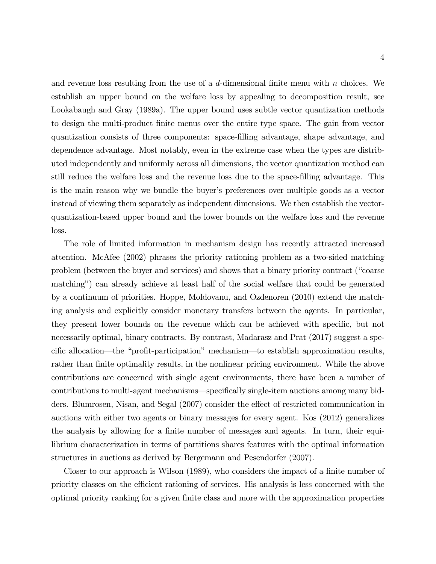and revenue loss resulting from the use of a  $d$ -dimensional finite menu with n choices. We establish an upper bound on the welfare loss by appealing to decomposition result, see Lookabaugh and Gray (1989a). The upper bound uses subtle vector quantization methods to design the multi-product Önite menus over the entire type space. The gain from vector quantization consists of three components: space-Ölling advantage, shape advantage, and dependence advantage. Most notably, even in the extreme case when the types are distributed independently and uniformly across all dimensions, the vector quantization method can still reduce the welfare loss and the revenue loss due to the space-Ölling advantage. This is the main reason why we bundle the buyer's preferences over multiple goods as a vector instead of viewing them separately as independent dimensions. We then establish the vectorquantization-based upper bound and the lower bounds on the welfare loss and the revenue loss.

The role of limited information in mechanism design has recently attracted increased attention. McAfee (2002) phrases the priority rationing problem as a two-sided matching problem (between the buyer and services) and shows that a binary priority contract ("coarse matchingî) can already achieve at least half of the social welfare that could be generated by a continuum of priorities. Hoppe, Moldovanu, and Ozdenoren (2010) extend the matching analysis and explicitly consider monetary transfers between the agents. In particular, they present lower bounds on the revenue which can be achieved with specific, but not necessarily optimal, binary contracts. By contrast, Madarasz and Prat (2017) suggest a specific allocation—the "profit-participation" mechanism—to establish approximation results, rather than finite optimality results, in the nonlinear pricing environment. While the above contributions are concerned with single agent environments, there have been a number of contributions to multi-agent mechanisms—specifically single-item auctions among many bidders. Blumrosen, Nisan, and Segal (2007) consider the effect of restricted communication in auctions with either two agents or binary messages for every agent. Kos (2012) generalizes the analysis by allowing for a finite number of messages and agents. In turn, their equilibrium characterization in terms of partitions shares features with the optimal information structures in auctions as derived by Bergemann and Pesendorfer (2007).

Closer to our approach is Wilson (1989), who considers the impact of a finite number of priority classes on the efficient rationing of services. His analysis is less concerned with the optimal priority ranking for a given finite class and more with the approximation properties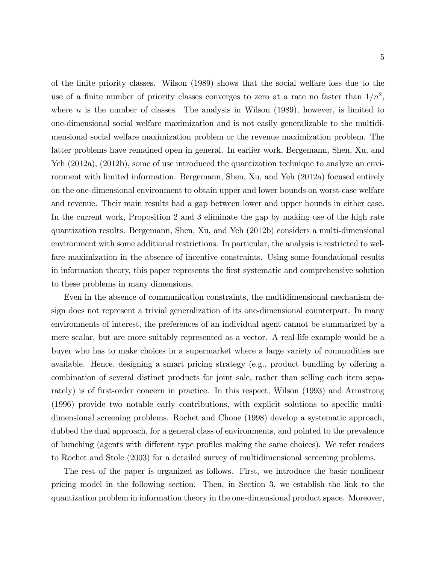of the Önite priority classes. Wilson (1989) shows that the social welfare loss due to the use of a finite number of priority classes converges to zero at a rate no faster than  $1/n^2$ , where  $n$  is the number of classes. The analysis in Wilson  $(1989)$ , however, is limited to one-dimensional social welfare maximization and is not easily generalizable to the multidimensional social welfare maximization problem or the revenue maximization problem. The latter problems have remained open in general. In earlier work, Bergemann, Shen, Xu, and Yeh (2012a), (2012b), some of use introduced the quantization technique to analyze an environment with limited information. Bergemann, Shen, Xu, and Yeh (2012a) focused entirely on the one-dimensional environment to obtain upper and lower bounds on worst-case welfare and revenue. Their main results had a gap between lower and upper bounds in either case. In the current work, Proposition 2 and 3 eliminate the gap by making use of the high rate quantization results. Bergemann, Shen, Xu, and Yeh (2012b) considers a multi-dimensional environment with some additional restrictions. In particular, the analysis is restricted to welfare maximization in the absence of incentive constraints. Using some foundational results in information theory, this paper represents the first systematic and comprehensive solution to these problems in many dimensions,

Even in the absence of communication constraints, the multidimensional mechanism design does not represent a trivial generalization of its one-dimensional counterpart. In many environments of interest, the preferences of an individual agent cannot be summarized by a mere scalar, but are more suitably represented as a vector. A real-life example would be a buyer who has to make choices in a supermarket where a large variety of commodities are available. Hence, designing a smart pricing strategy (e.g., product bundling by offering a combination of several distinct products for joint sale, rather than selling each item separately) is of first-order concern in practice. In this respect, Wilson (1993) and Armstrong  $(1996)$  provide two notable early contributions, with explicit solutions to specific multidimensional screening problems. Rochet and Chone (1998) develop a systematic approach, dubbed the dual approach, for a general class of environments, and pointed to the prevalence of bunching (agents with different type profiles making the same choices). We refer readers to Rochet and Stole (2003) for a detailed survey of multidimensional screening problems.

The rest of the paper is organized as follows. First, we introduce the basic nonlinear pricing model in the following section. Then, in Section 3, we establish the link to the quantization problem in information theory in the one-dimensional product space. Moreover,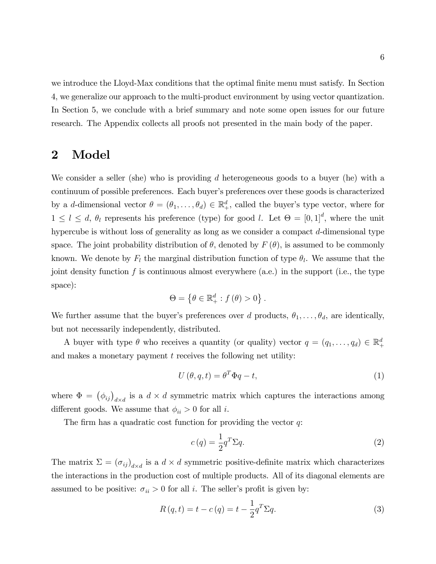we introduce the Lloyd-Max conditions that the optimal finite menu must satisfy. In Section 4, we generalize our approach to the multi-product environment by using vector quantization. In Section 5, we conclude with a brief summary and note some open issues for our future research. The Appendix collects all proofs not presented in the main body of the paper.

## 2 Model

We consider a seller (she) who is providing d heterogeneous goods to a buyer (he) with a continuum of possible preferences. Each buyer's preferences over these goods is characterized by a d-dimensional vector  $\theta = (\theta_1, \dots, \theta_d) \in \mathbb{R}^d_+$ , called the buyer's type vector, where for  $1 \leq l \leq d$ ,  $\theta_l$  represents his preference (type) for good l. Let  $\Theta = [0, 1]^d$ , where the unit hypercube is without loss of generality as long as we consider a compact d-dimensional type space. The joint probability distribution of  $\theta$ , denoted by  $F(\theta)$ , is assumed to be commonly known. We denote by  $F_l$  the marginal distribution function of type  $\theta_l$ . We assume that the joint density function f is continuous almost everywhere  $(a.e.)$  in the support  $(i.e., the type$ space):

$$
\Theta = \left\{\theta \in \mathbb{R}_{+}^{d} : f(\theta) > 0\right\}.
$$

We further assume that the buyer's preferences over d products,  $\theta_1, \ldots, \theta_d$ , are identically, but not necessarily independently, distributed.

A buyer with type  $\theta$  who receives a quantity (or quality) vector  $q = (q_1, \ldots, q_d) \in \mathbb{R}^d_+$ and makes a monetary payment  $t$  receives the following net utility:

$$
U(\theta, q, t) = \theta^T \Phi q - t,\tag{1}
$$

where  $\Phi = (\phi_{ij})_{d \times d}$  is a  $d \times d$  symmetric matrix which captures the interactions among different goods. We assume that  $\phi_{ii} > 0$  for all *i*.

The firm has a quadratic cost function for providing the vector  $q$ :

$$
c(q) = \frac{1}{2}q^T \Sigma q.
$$
 (2)

The matrix  $\Sigma = (\sigma_{ij})_{d \times d}$  is a  $d \times d$  symmetric positive-definite matrix which characterizes the interactions in the production cost of multiple products. All of its diagonal elements are assumed to be positive:  $\sigma_{ii} > 0$  for all i. The seller's profit is given by:

$$
R(q,t) = t - c(q) = t - \frac{1}{2}q^{T}\Sigma q.
$$
\n(3)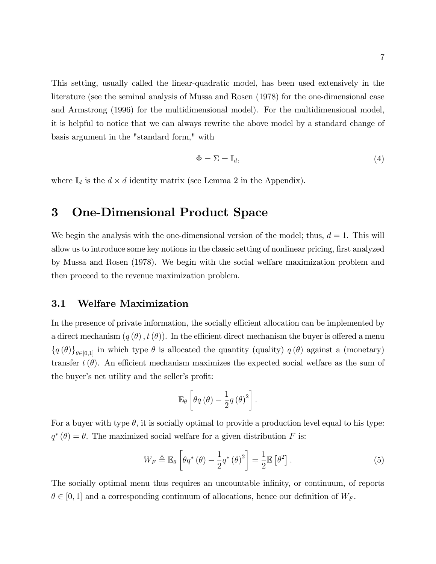This setting, usually called the linear-quadratic model, has been used extensively in the literature (see the seminal analysis of Mussa and Rosen (1978) for the one-dimensional case and Armstrong (1996) for the multidimensional model). For the multidimensional model, it is helpful to notice that we can always rewrite the above model by a standard change of basis argument in the "standard form," with

$$
\Phi = \Sigma = \mathbb{I}_d,\tag{4}
$$

where  $\mathbb{I}_d$  is the  $d \times d$  identity matrix (see Lemma 2 in the Appendix).

## 3 One-Dimensional Product Space

We begin the analysis with the one-dimensional version of the model; thus,  $d = 1$ . This will allow us to introduce some key notions in the classic setting of nonlinear pricing, first analyzed by Mussa and Rosen (1978). We begin with the social welfare maximization problem and then proceed to the revenue maximization problem.

### 3.1 Welfare Maximization

In the presence of private information, the socially efficient allocation can be implemented by a direct mechanism  $(q(\theta), t(\theta))$ . In the efficient direct mechanism the buyer is offered a menu  $\{q(\theta)\}_{\theta\in[0,1]}$  in which type  $\theta$  is allocated the quantity (quality)  $q(\theta)$  against a (monetary) transfer  $t(\theta)$ . An efficient mechanism maximizes the expected social welfare as the sum of the buyer's net utility and the seller's profit:

$$
\mathbb{E}_{\theta}\left[\theta q\left(\theta\right)-\frac{1}{2}q\left(\theta\right)^{2}\right].
$$

For a buyer with type  $\theta$ , it is socially optimal to provide a production level equal to his type:  $q^*(\theta) = \theta$ . The maximized social welfare for a given distribution F is:

$$
W_F \triangleq \mathbb{E}_{\theta} \left[ \theta q^* \left( \theta \right) - \frac{1}{2} q^* \left( \theta \right)^2 \right] = \frac{1}{2} \mathbb{E} \left[ \theta^2 \right]. \tag{5}
$$

The socially optimal menu thus requires an uncountable infinity, or continuum, of reports  $\theta \in [0, 1]$  and a corresponding continuum of allocations, hence our definition of  $W_F$ .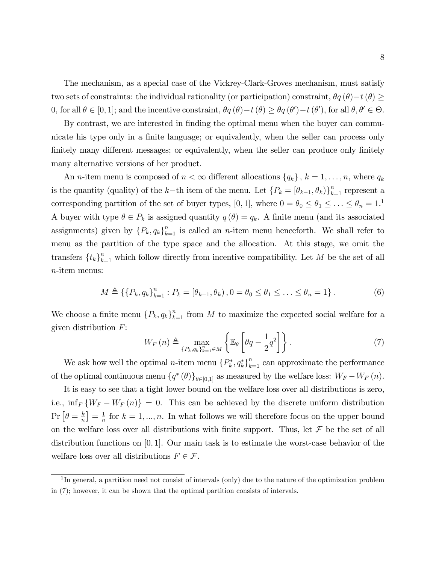The mechanism, as a special case of the Vickrey-Clark-Groves mechanism, must satisfy two sets of constraints: the individual rationality (or participation) constraint,  $\theta q(\theta) - t(\theta) \geq$ 0, for all  $\theta \in [0, 1]$ ; and the incentive constraint,  $\theta q(\theta) - t(\theta) \ge \theta q(\theta') - t(\theta')$ , for all  $\theta, \theta' \in \Theta$ .

By contrast, we are interested in finding the optimal menu when the buyer can communicate his type only in a finite language; or equivalently, when the seller can process only finitely many different messages; or equivalently, when the seller can produce only finitely many alternative versions of her product.

An *n*-item menu is composed of  $n < \infty$  different allocations  $\{q_k\}, k = 1, \ldots, n$ , where  $q_k$ is the quantity (quality) of the k-th item of the menu. Let  $\{P_k = [\theta_{k-1}, \theta_k]\}_{k=1}^n$  represent a corresponding partition of the set of buyer types, [0, 1], where  $0 = \theta_0 \le \theta_1 \le \ldots \le \theta_n = 1$ .<sup>1</sup> A buyer with type  $\theta \in P_k$  is assigned quantity  $q(\theta) = q_k$ . A finite menu (and its associated assignments) given by  $\{P_k, q_k\}_{k=1}^n$  is called an *n*-item menu henceforth. We shall refer to menu as the partition of the type space and the allocation. At this stage, we omit the transfers  $\{t_k\}_{k=1}^n$  which follow directly from incentive compatibility. Let M be the set of all n-item menus:

$$
M \triangleq \left\{ \left\{ P_k, q_k \right\}_{k=1}^n : P_k = \left[ \theta_{k-1}, \theta_k \right], 0 = \theta_0 \le \theta_1 \le \ldots \le \theta_n = 1 \right\}.
$$
 (6)

We choose a finite menu  ${P_k, q_k}_{k=1}^n$  from M to maximize the expected social welfare for a given distribution  $F$ :

$$
W_F(n) \triangleq \max_{\{P_k, q_k\}_{k=1}^n \in M} \left\{ \mathbb{E}_{\theta} \left[ \theta q - \frac{1}{2} q^2 \right] \right\}.
$$
 (7)

We ask how well the optimal *n*-item menu  ${P_k^*, q_k^*}_{k=1}^n$  can approximate the performance of the optimal continuous menu  $\{q^*(\theta)\}_{\theta \in [0,1]}$  as measured by the welfare loss:  $W_F - W_F(n)$ .

It is easy to see that a tight lower bound on the welfare loss over all distributions is zero, i.e.,  $\inf_F \{W_F - W_F(n)\} = 0$ . This can be achieved by the discrete uniform distribution  $\Pr\left[\theta=\frac{k}{n}\right]$  $\frac{k}{n}$  =  $\frac{1}{n}$  $\frac{1}{n}$  for  $k = 1, ..., n$ . In what follows we will therefore focus on the upper bound on the welfare loss over all distributions with finite support. Thus, let  $\mathcal F$  be the set of all distribution functions on  $[0, 1]$ . Our main task is to estimate the worst-case behavior of the welfare loss over all distributions  $F \in \mathcal{F}$ .

<sup>&</sup>lt;sup>1</sup>In general, a partition need not consist of intervals (only) due to the nature of the optimization problem in (7); however, it can be shown that the optimal partition consists of intervals.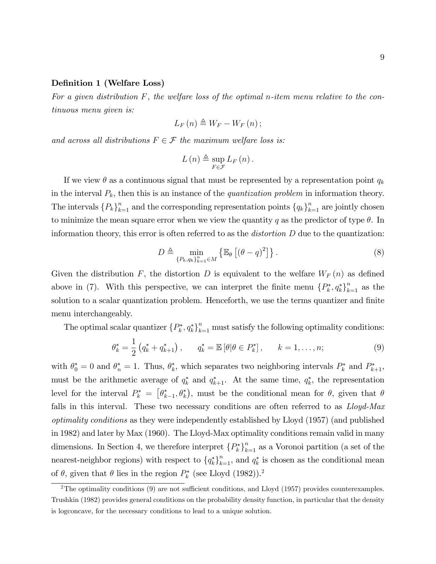#### Definition 1 (Welfare Loss)

For a given distribution  $F$ , the welfare loss of the optimal n-item menu relative to the continuous menu given is:

$$
L_{F}\left( n\right) \triangleq W_{F}-W_{F}\left( n\right) ;
$$

and across all distributions  $F \in \mathcal{F}$  the maximum welfare loss is:

$$
L(n) \triangleq \sup_{F \in \mathcal{F}} L_F(n).
$$

If we view  $\theta$  as a continuous signal that must be represented by a representation point  $q_k$ in the interval  $P_k$ , then this is an instance of the *quantization problem* in information theory. The intervals  ${P_k}_{k=1}^n$  and the corresponding representation points  ${q_k}_{k=1}^n$  are jointly chosen to minimize the mean square error when we view the quantity q as the predictor of type  $\theta$ . In information theory, this error is often referred to as the *distortion*  $D$  due to the quantization:

$$
D \triangleq \min_{\{P_k, q_k\}_{k=1}^n \in M} \left\{ \mathbb{E}_{\theta} \left[ \left( \theta - q \right)^2 \right] \right\}.
$$
 (8)

Given the distribution F, the distortion D is equivalent to the welfare  $W_F(n)$  as defined above in (7). With this perspective, we can interpret the finite menu  ${P_k^*, q_k^*}_{k=1}^n$  as the solution to a scalar quantization problem. Henceforth, we use the terms quantizer and finite menu interchangeably.

The optimal scalar quantizer  $\{P_k^*, q_k^*\}_{k=1}^n$  must satisfy the following optimality conditions:

$$
\theta_k^* = \frac{1}{2} \left( q_k^* + q_{k+1}^* \right), \qquad q_k^* = \mathbb{E} \left[ \theta | \theta \in P_k^* \right], \qquad k = 1, \dots, n; \tag{9}
$$

with  $\theta_0^* = 0$  and  $\theta_n^* = 1$ . Thus,  $\theta_k^*$ , which separates two neighboring intervals  $P_k^*$  and  $P_{k+1}^*$ , must be the arithmetic average of  $q_k^*$  and  $q_{k+1}^*$ . At the same time,  $q_k^*$ , the representation level for the interval  $P_k^* = [\theta_{k-1}^*, \theta_k^*],$  must be the conditional mean for  $\theta$ , given that  $\theta$ falls in this interval. These two necessary conditions are often referred to as *Lloyd-Max* optimality conditions as they were independently established by Lloyd (1957) (and published in 1982) and later by Max (1960). The Lloyd-Max optimality conditions remain valid in many dimensions. In Section 4, we therefore interpret  ${P_k^*}_{k=1}^n$  as a Voronoi partition (a set of the nearest-neighbor regions) with respect to  $\{q_k^*\}_{k=1}^n$ , and  $q_k^*$  is chosen as the conditional mean of  $\theta$ , given that  $\theta$  lies in the region  $P_k^*$  (see Lloyd (1982)).<sup>2</sup>

<sup>&</sup>lt;sup>2</sup>The optimality conditions  $(9)$  are not sufficient conditions, and Lloyd  $(1957)$  provides counterexamples. Trushkin (1982) provides general conditions on the probability density function, in particular that the density is logconcave, for the necessary conditions to lead to a unique solution.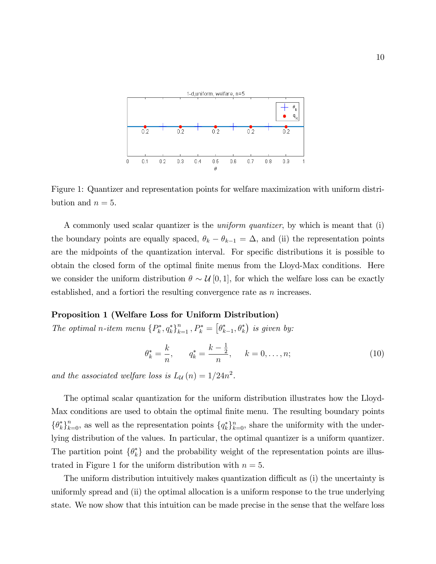

Figure 1: Quantizer and representation points for welfare maximization with uniform distribution and  $n = 5$ .

A commonly used scalar quantizer is the uniform quantizer, by which is meant that (i) the boundary points are equally spaced,  $\theta_k - \theta_{k-1} = \Delta$ , and (ii) the representation points are the midpoints of the quantization interval. For specific distributions it is possible to obtain the closed form of the optimal Önite menus from the Lloyd-Max conditions. Here we consider the uniform distribution  $\theta \sim \mathcal{U}[0,1]$ , for which the welfare loss can be exactly established, and a fortiori the resulting convergence rate as  $n$  increases.

#### Proposition 1 (Welfare Loss for Uniform Distribution)

The optimal n-item menu  $\{P_k^*, q_k^*\}_{k=1}^n$ ,  $P_k^* = [\theta_{k-1}^*, \theta_k^*)$  is given by:

$$
\theta_k^* = \frac{k}{n}, \qquad q_k^* = \frac{k - \frac{1}{2}}{n}, \qquad k = 0, \dots, n; \tag{10}
$$

and the associated welfare loss is  $L_{\mathcal{U}}(n) = 1/24n^2$ .

The optimal scalar quantization for the uniform distribution illustrates how the Lloyd-Max conditions are used to obtain the optimal finite menu. The resulting boundary points  $\{\theta_k^*\}_{k=0}^n$ , as well as the representation points  $\{q_k^*\}_{k=0}^n$ , share the uniformity with the underlying distribution of the values. In particular, the optimal quantizer is a uniform quantizer. The partition point  $\{\theta_k^*\}$  and the probability weight of the representation points are illustrated in Figure 1 for the uniform distribution with  $n = 5$ .

The uniform distribution intuitively makes quantization difficult as (i) the uncertainty is uniformly spread and (ii) the optimal allocation is a uniform response to the true underlying state. We now show that this intuition can be made precise in the sense that the welfare loss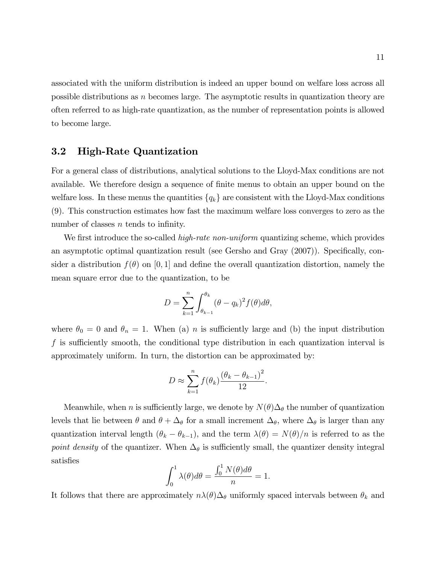associated with the uniform distribution is indeed an upper bound on welfare loss across all possible distributions as  $n$  becomes large. The asymptotic results in quantization theory are often referred to as high-rate quantization, as the number of representation points is allowed to become large.

### 3.2 High-Rate Quantization

For a general class of distributions, analytical solutions to the Lloyd-Max conditions are not available. We therefore design a sequence of finite menus to obtain an upper bound on the welfare loss. In these menus the quantities  $\{q_k\}$  are consistent with the Lloyd-Max conditions (9). This construction estimates how fast the maximum welfare loss converges to zero as the number of classes  $n$  tends to infinity.

We first introduce the so-called *high-rate non-uniform* quantizing scheme, which provides an asymptotic optimal quantization result (see Gersho and Gray  $(2007)$ ). Specifically, consider a distribution  $f(\theta)$  on [0, 1] and define the overall quantization distortion, namely the mean square error due to the quantization, to be

$$
D = \sum_{k=1}^{n} \int_{\theta_{k-1}}^{\theta_k} (\theta - q_k)^2 f(\theta) d\theta,
$$

where  $\theta_0 = 0$  and  $\theta_n = 1$ . When (a) *n* is sufficiently large and (b) the input distribution f is sufficiently smooth, the conditional type distribution in each quantization interval is approximately uniform. In turn, the distortion can be approximated by:

$$
D \approx \sum_{k=1}^{n} f(\theta_k) \frac{(\theta_k - \theta_{k-1})^2}{12}.
$$

Meanwhile, when *n* is sufficiently large, we denote by  $N(\theta)\Delta_{\theta}$  the number of quantization levels that lie between  $\theta$  and  $\theta + \Delta_{\theta}$  for a small increment  $\Delta_{\theta}$ , where  $\Delta_{\theta}$  is larger than any quantization interval length  $(\theta_k - \theta_{k-1})$ , and the term  $\lambda(\theta) = N(\theta)/n$  is referred to as the point density of the quantizer. When  $\Delta_{\theta}$  is sufficiently small, the quantizer density integral satisfies

$$
\int_0^1 \lambda(\theta) d\theta = \frac{\int_0^1 N(\theta) d\theta}{n} = 1.
$$

It follows that there are approximately  $n\lambda(\theta)\Delta_{\theta}$  uniformly spaced intervals between  $\theta_k$  and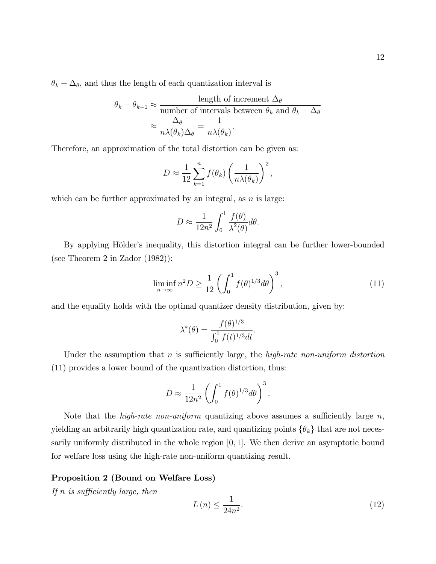$$
\theta_k - \theta_{k-1} \approx \frac{\text{length of increment } \Delta_\theta}{\text{number of intervals between } \theta_k \text{ and } \theta_k + \Delta_\theta}
$$

$$
\approx \frac{\Delta_\theta}{n\lambda(\theta_k)\Delta_\theta} = \frac{1}{n\lambda(\theta_k)}.
$$

Therefore, an approximation of the total distortion can be given as:

$$
D \approx \frac{1}{12} \sum_{k=1}^{n} f(\theta_k) \left( \frac{1}{n \lambda(\theta_k)} \right)^2,
$$

which can be further approximated by an integral, as  $n$  is large:

$$
D \approx \frac{1}{12n^2} \int_0^1 \frac{f(\theta)}{\lambda^2(\theta)} d\theta.
$$

By applying Hölder's inequality, this distortion integral can be further lower-bounded (see Theorem 2 in Zador (1982)):

$$
\liminf_{n \to \infty} n^2 D \ge \frac{1}{12} \left( \int_0^1 f(\theta)^{1/3} d\theta \right)^3,\tag{11}
$$

and the equality holds with the optimal quantizer density distribution, given by:

$$
\lambda^*(\theta) = \frac{f(\theta)^{1/3}}{\int_0^1 f(t)^{1/3} dt}.
$$

Under the assumption that n is sufficiently large, the high-rate non-uniform distortion (11) provides a lower bound of the quantization distortion, thus:

$$
D \approx \frac{1}{12n^2} \left( \int_0^1 f(\theta)^{1/3} d\theta \right)^3.
$$

Note that the *high-rate non-uniform* quantizing above assumes a sufficiently large  $n$ , yielding an arbitrarily high quantization rate, and quantizing points  $\{\theta_k\}$  that are not necessarily uniformly distributed in the whole region  $[0, 1]$ . We then derive an asymptotic bound for welfare loss using the high-rate non-uniform quantizing result.

### Proposition 2 (Bound on Welfare Loss)

If n is sufficiently large, then

$$
L\left(n\right) \le \frac{1}{24n^2}.\tag{12}
$$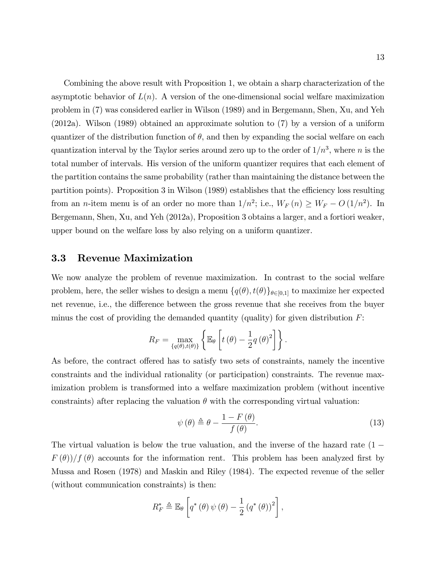Combining the above result with Proposition 1, we obtain a sharp characterization of the asymptotic behavior of  $L(n)$ . A version of the one-dimensional social welfare maximization problem in (7) was considered earlier in Wilson (1989) and in Bergemann, Shen, Xu, and Yeh (2012a). Wilson (1989) obtained an approximate solution to (7) by a version of a uniform quantizer of the distribution function of  $\theta$ , and then by expanding the social welfare on each quantization interval by the Taylor series around zero up to the order of  $1/n^3$ , where n is the total number of intervals. His version of the uniform quantizer requires that each element of the partition contains the same probability (rather than maintaining the distance between the partition points). Proposition 3 in Wilson (1989) establishes that the efficiency loss resulting from an *n*-item menu is of an order no more than  $1/n^2$ ; i.e.,  $W_F(n) \ge W_F - O(1/n^2)$ . In Bergemann, Shen, Xu, and Yeh (2012a), Proposition 3 obtains a larger, and a fortiori weaker, upper bound on the welfare loss by also relying on a uniform quantizer.

### 3.3 Revenue Maximization

We now analyze the problem of revenue maximization. In contrast to the social welfare problem, here, the seller wishes to design a menu  $\{q(\theta), t(\theta)\}_{\theta \in [0,1]}$  to maximize her expected net revenue, i.e., the difference between the gross revenue that she receives from the buyer minus the cost of providing the demanded quantity (quality) for given distribution  $F$ :

$$
R_F = \max_{\{q(\theta), t(\theta)\}} \left\{ \mathbb{E}_{\theta} \left[ t(\theta) - \frac{1}{2} q(\theta)^2 \right] \right\}.
$$

As before, the contract offered has to satisfy two sets of constraints, namely the incentive constraints and the individual rationality (or participation) constraints. The revenue maximization problem is transformed into a welfare maximization problem (without incentive constraints) after replacing the valuation  $\theta$  with the corresponding virtual valuation:

$$
\psi(\theta) \triangleq \theta - \frac{1 - F(\theta)}{f(\theta)}.
$$
\n(13)

The virtual valuation is below the true valuation, and the inverse of the hazard rate  $(1 F(\theta)/f(\theta)$  accounts for the information rent. This problem has been analyzed first by Mussa and Rosen (1978) and Maskin and Riley (1984). The expected revenue of the seller (without communication constraints) is then:

$$
R_F^* \triangleq \mathbb{E}_{\theta} \left[ q^* \left( \theta \right) \psi \left( \theta \right) - \frac{1}{2} \left( q^* \left( \theta \right) \right)^2 \right],
$$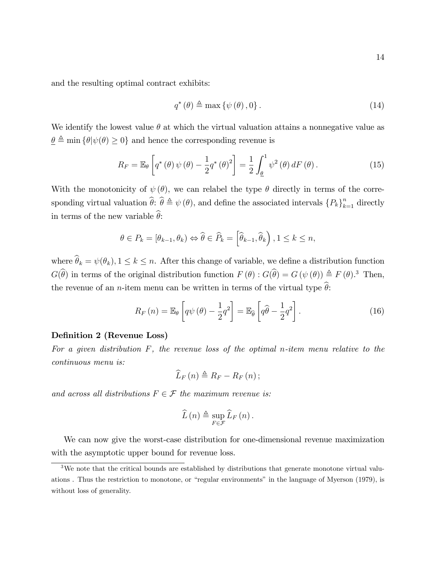and the resulting optimal contract exhibits:

$$
q^*(\theta) \triangleq \max \{ \psi(\theta), 0 \}.
$$
 (14)

We identify the lowest value  $\theta$  at which the virtual valuation attains a nonnegative value as  $\underline{\theta} \triangleq \min \{ \theta | \psi(\theta) \geq 0 \}$  and hence the corresponding revenue is

$$
R_F = \mathbb{E}_{\theta} \left[ q^* \left( \theta \right) \psi \left( \theta \right) - \frac{1}{2} q^* \left( \theta \right)^2 \right] = \frac{1}{2} \int_{\underline{\theta}}^1 \psi^2 \left( \theta \right) dF \left( \theta \right). \tag{15}
$$

With the monotonicity of  $\psi(\theta)$ , we can relabel the type  $\theta$  directly in terms of the corresponding virtual valuation  $\widehat{\theta}$ :  $\widehat{\theta} \triangleq \psi(\theta)$ , and define the associated intervals  ${P_k}_{k=1}^n$  directly in terms of the new variable  $\hat{\theta}$ :

$$
\theta \in P_k = [\theta_{k-1}, \theta_k) \Leftrightarrow \widehat{\theta} \in \widehat{P}_k = \left[\widehat{\theta}_{k-1}, \widehat{\theta}_k\right], 1 \le k \le n,
$$

where  $\widehat{\theta}_k = \psi(\theta_k), 1 \leq k \leq n$ . After this change of variable, we define a distribution function  $G(\hat{\theta})$  in terms of the original distribution function  $F(\theta)$ :  $G(\hat{\theta}) = G(\psi(\theta)) \triangleq F(\theta)$ .<sup>3</sup> Then, the revenue of an *n*-item menu can be written in terms of the virtual type  $\hat{\theta}$ :

$$
R_F(n) = \mathbb{E}_{\theta} \left[ q\psi(\theta) - \frac{1}{2}q^2 \right] = \mathbb{E}_{\hat{\theta}} \left[ q\hat{\theta} - \frac{1}{2}q^2 \right].
$$
 (16)

#### Definition 2 (Revenue Loss)

For a given distribution  $F$ , the revenue loss of the optimal n-item menu relative to the continuous menu is:

$$
\widehat{L}_F(n) \triangleq R_F - R_F(n);
$$

and across all distributions  $F \in \mathcal{F}$  the maximum revenue is:

$$
\widehat{L}(n) \triangleq \sup_{F \in \mathcal{F}} \widehat{L}_F(n).
$$

We can now give the worst-case distribution for one-dimensional revenue maximization with the asymptotic upper bound for revenue loss.

<sup>3</sup>We note that the critical bounds are established by distributions that generate monotone virtual valuations. Thus the restriction to monotone, or "regular environments" in the language of Myerson (1979), is without loss of generality.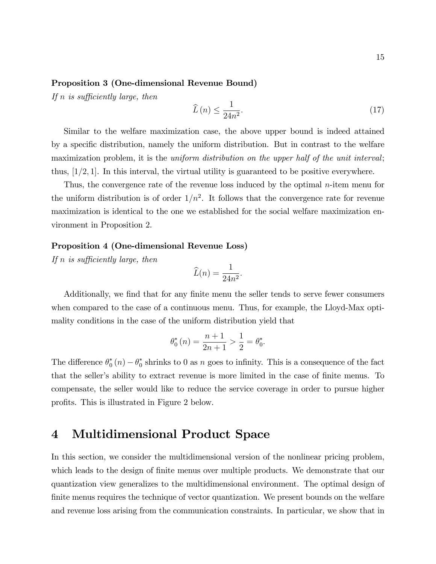#### Proposition 3 (One-dimensional Revenue Bound)

If n is sufficiently large, then

$$
\widehat{L}\left(n\right) \le \frac{1}{24n^2}.\tag{17}
$$

Similar to the welfare maximization case, the above upper bound is indeed attained by a specific distribution, namely the uniform distribution. But in contrast to the welfare maximization problem, it is the *uniform distribution* on the upper half of the unit interval; thus,  $[1/2, 1]$ . In this interval, the virtual utility is guaranteed to be positive everywhere.

Thus, the convergence rate of the revenue loss induced by the optimal  $n$ -item menu for the uniform distribution is of order  $1/n^2$ . It follows that the convergence rate for revenue maximization is identical to the one we established for the social welfare maximization environment in Proposition 2.

### Proposition 4 (One-dimensional Revenue Loss)

If n is sufficiently large, then

$$
\widehat{L}(n) = \frac{1}{24n^2}.
$$

Additionally, we find that for any finite menu the seller tends to serve fewer consumers when compared to the case of a continuous menu. Thus, for example, the Lloyd-Max optimality conditions in the case of the uniform distribution yield that

$$
\theta_0^*(n) = \frac{n+1}{2n+1} > \frac{1}{2} = \theta_0^*.
$$

The difference  $\theta_0^*(n) - \theta_0^*$  shrinks to 0 as n goes to infinity. This is a consequence of the fact that the seller's ability to extract revenue is more limited in the case of finite menus. To compensate, the seller would like to reduce the service coverage in order to pursue higher profits. This is illustrated in Figure 2 below.

## 4 Multidimensional Product Space

In this section, we consider the multidimensional version of the nonlinear pricing problem, which leads to the design of finite menus over multiple products. We demonstrate that our quantization view generalizes to the multidimensional environment. The optimal design of finite menus requires the technique of vector quantization. We present bounds on the welfare and revenue loss arising from the communication constraints. In particular, we show that in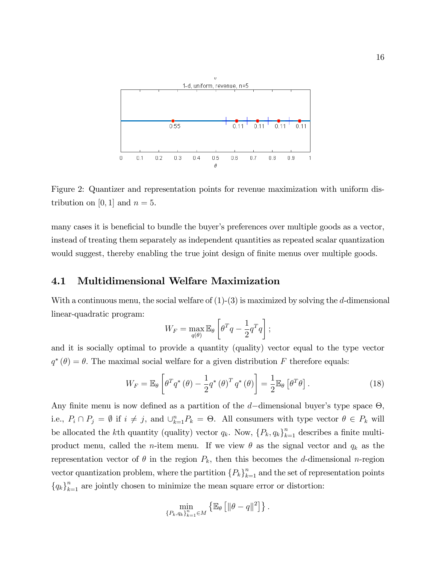

Figure 2: Quantizer and representation points for revenue maximization with uniform distribution on [0, 1] and  $n = 5$ .

many cases it is beneficial to bundle the buyer's preferences over multiple goods as a vector, instead of treating them separately as independent quantities as repeated scalar quantization would suggest, thereby enabling the true joint design of finite menus over multiple goods.

### 4.1 Multidimensional Welfare Maximization

With a continuous menu, the social welfare of  $(1)-(3)$  is maximized by solving the d-dimensional linear-quadratic program:

$$
W_F = \max_{q(\theta)} \mathbb{E}_{\theta} \left[ \theta^T q - \frac{1}{2} q^T q \right];
$$

and it is socially optimal to provide a quantity (quality) vector equal to the type vector  $q^*(\theta) = \theta$ . The maximal social welfare for a given distribution F therefore equals:

$$
W_F = \mathbb{E}_{\theta} \left[ \theta^T q^* \left( \theta \right) - \frac{1}{2} q^* \left( \theta \right)^T q^* \left( \theta \right) \right] = \frac{1}{2} \mathbb{E}_{\theta} \left[ \theta^T \theta \right]. \tag{18}
$$

Any finite menu is now defined as a partition of the  $d$ -dimensional buyer's type space  $\Theta$ , i.e.,  $P_i \cap P_j = \emptyset$  if  $i \neq j$ , and  $\bigcup_{k=1}^n P_k = \Theta$ . All consumers with type vector  $\theta \in P_k$  will be allocated the kth quantity (quality) vector  $q_k$ . Now,  $\{P_k, q_k\}_{k=1}^n$  describes a finite multiproduct menu, called the *n*-item menu. If we view  $\theta$  as the signal vector and  $q_k$  as the representation vector of  $\theta$  in the region  $P_k$ , then this becomes the d-dimensional n-region vector quantization problem, where the partition  ${P_k}_{k=1}^n$  and the set of representation points  ${q_k}_{k=1}^n$  are jointly chosen to minimize the mean square error or distortion:

$$
\min_{\{P_k, q_k\}_{k=1}^n \in M} \left\{ \mathbb{E}_{\theta} \left[ \|\theta - q\|^2 \right] \right\}.
$$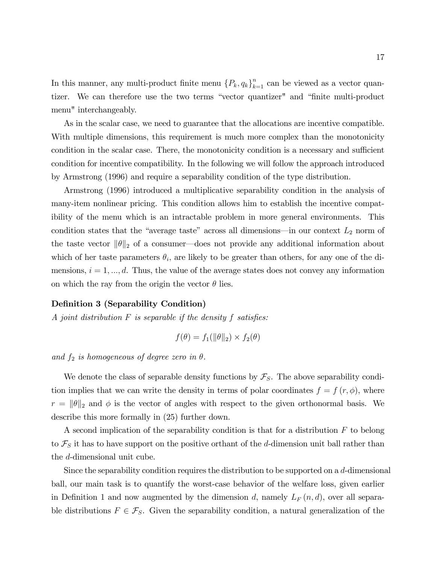In this manner, any multi-product finite menu  ${P_k, q_k}_{k=1}^n$  can be viewed as a vector quantizer. We can therefore use the two terms "vector quantizer" and "finite multi-product menu" interchangeably.

As in the scalar case, we need to guarantee that the allocations are incentive compatible. With multiple dimensions, this requirement is much more complex than the monotonicity condition in the scalar case. There, the monotonicity condition is a necessary and sufficient condition for incentive compatibility. In the following we will follow the approach introduced by Armstrong (1996) and require a separability condition of the type distribution.

Armstrong (1996) introduced a multiplicative separability condition in the analysis of many-item nonlinear pricing. This condition allows him to establish the incentive compatibility of the menu which is an intractable problem in more general environments. This condition states that the "average taste" across all dimensions—in our context  $L_2$  norm of the taste vector  $\|\theta\|_2$  of a consumer—does not provide any additional information about which of her taste parameters  $\theta_i$ , are likely to be greater than others, for any one of the dimensions,  $i = 1, ..., d$ . Thus, the value of the average states does not convey any information on which the ray from the origin the vector  $\theta$  lies.

### Definition 3 (Separability Condition)

A joint distribution  $F$  is separable if the density  $f$  satisfies:

$$
f(\theta) = f_1(||\theta||_2) \times f_2(\theta)
$$

and  $f_2$  is homogeneous of degree zero in  $\theta$ .

We denote the class of separable density functions by  $\mathcal{F}_S$ . The above separability condition implies that we can write the density in terms of polar coordinates  $f = f(r, \phi)$ , where  $r = ||\theta||_2$  and  $\phi$  is the vector of angles with respect to the given orthonormal basis. We describe this more formally in (25) further down.

A second implication of the separability condition is that for a distribution F to belong to  $\mathcal{F}_S$  it has to have support on the positive orthant of the d-dimension unit ball rather than the d-dimensional unit cube.

Since the separability condition requires the distribution to be supported on a  $d$ -dimensional ball, our main task is to quantify the worst-case behavior of the welfare loss, given earlier in Definition 1 and now augmented by the dimension d, namely  $L_F(n,d)$ , over all separable distributions  $F \in \mathcal{F}_S$ . Given the separability condition, a natural generalization of the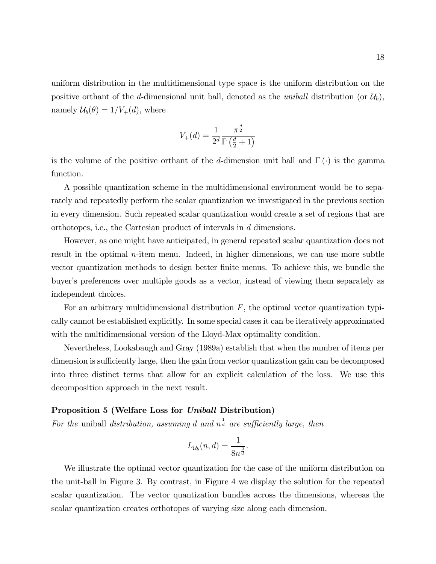uniform distribution in the multidimensional type space is the uniform distribution on the positive orthant of the d-dimensional unit ball, denoted as the *uniball* distribution (or  $\mathcal{U}_b$ ), namely  $\mathcal{U}_b(\theta) = 1/V_+(d)$ , where

$$
V_{+}(d) = \frac{1}{2^{d}} \frac{\pi^{\frac{d}{2}}}{\Gamma(\frac{d}{2} + 1)}
$$

is the volume of the positive orthant of the d-dimension unit ball and  $\Gamma(\cdot)$  is the gamma function.

A possible quantization scheme in the multidimensional environment would be to separately and repeatedly perform the scalar quantization we investigated in the previous section in every dimension. Such repeated scalar quantization would create a set of regions that are orthotopes, i.e., the Cartesian product of intervals in d dimensions.

However, as one might have anticipated, in general repeated scalar quantization does not result in the optimal *n*-item menu. Indeed, in higher dimensions, we can use more subtle vector quantization methods to design better Önite menus. To achieve this, we bundle the buyer's preferences over multiple goods as a vector, instead of viewing them separately as independent choices.

For an arbitrary multidimensional distribution  $F$ , the optimal vector quantization typically cannot be established explicitly. In some special cases it can be iteratively approximated with the multidimensional version of the Lloyd-Max optimality condition.

Nevertheless, Lookabaugh and Gray (1989a) establish that when the number of items per dimension is sufficiently large, then the gain from vector quantization gain can be decomposed into three distinct terms that allow for an explicit calculation of the loss. We use this decomposition approach in the next result.

### Proposition 5 (Welfare Loss for Uniball Distribution)

For the uniball distribution, assuming d and  $n^{\frac{1}{d}}$  are sufficiently large, then

$$
L_{\mathcal{U}_b}(n,d) = \frac{1}{8n^{\frac{2}{d}}}.
$$

We illustrate the optimal vector quantization for the case of the uniform distribution on the unit-ball in Figure 3. By contrast, in Figure 4 we display the solution for the repeated scalar quantization. The vector quantization bundles across the dimensions, whereas the scalar quantization creates orthotopes of varying size along each dimension.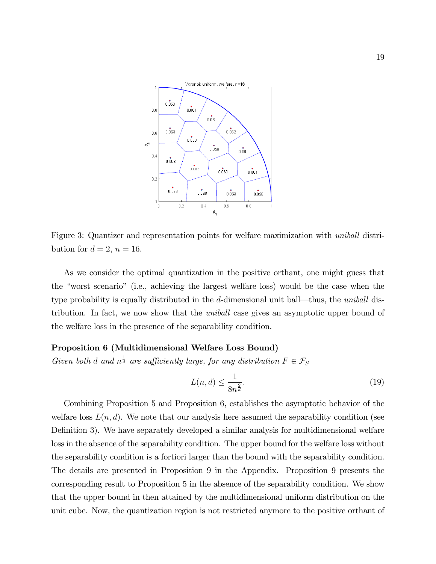

Figure 3: Quantizer and representation points for welfare maximization with uniball distribution for  $d = 2$ ,  $n = 16$ .

As we consider the optimal quantization in the positive orthant, one might guess that the "worst scenario" (i.e., achieving the largest welfare loss) would be the case when the type probability is equally distributed in the  $d$ -dimensional unit ball—thus, the uniball distribution. In fact, we now show that the uniball case gives an asymptotic upper bound of the welfare loss in the presence of the separability condition.

#### Proposition 6 (Multidimensional Welfare Loss Bound)

Given both d and  $n^{\frac{1}{d}}$  are sufficiently large, for any distribution  $F \in \mathcal{F}_S$ 

$$
L(n,d) \le \frac{1}{8n^{\frac{2}{d}}}.\tag{19}
$$

Combining Proposition 5 and Proposition 6, establishes the asymptotic behavior of the welfare loss  $L(n, d)$ . We note that our analysis here assumed the separability condition (see Definition 3). We have separately developed a similar analysis for multidimensional welfare loss in the absence of the separability condition. The upper bound for the welfare loss without the separability condition is a fortiori larger than the bound with the separability condition. The details are presented in Proposition 9 in the Appendix. Proposition 9 presents the corresponding result to Proposition 5 in the absence of the separability condition. We show that the upper bound in then attained by the multidimensional uniform distribution on the unit cube. Now, the quantization region is not restricted anymore to the positive orthant of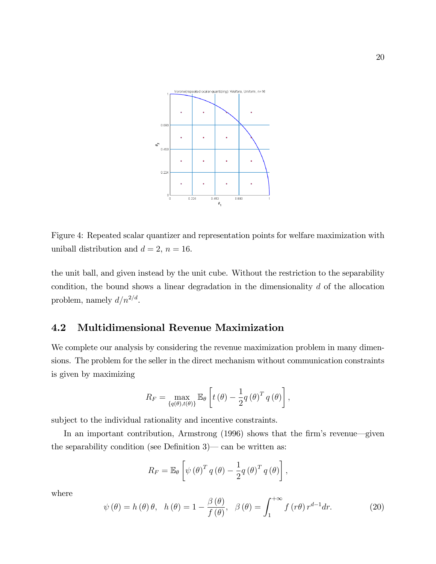

Figure 4: Repeated scalar quantizer and representation points for welfare maximization with uniball distribution and  $d = 2$ ,  $n = 16$ .

the unit ball, and given instead by the unit cube. Without the restriction to the separability condition, the bound shows a linear degradation in the dimensionality  $d$  of the allocation problem, namely  $d/n^{2/d}$ .

### 4.2 Multidimensional Revenue Maximization

We complete our analysis by considering the revenue maximization problem in many dimensions. The problem for the seller in the direct mechanism without communication constraints is given by maximizing

$$
R_F = \max_{\{q(\theta), t(\theta)\}} \mathbb{E}_{\theta} \left[ t(\theta) - \frac{1}{2} q(\theta)^T q(\theta) \right],
$$

subject to the individual rationality and incentive constraints.

In an important contribution, Armstrong  $(1996)$  shows that the firm's revenue—given the separability condition (see Definition  $3$ )  $\sim$  can be written as:

$$
R_F = \mathbb{E}_{\theta} \left[ \psi (\theta)^T q (\theta) - \frac{1}{2} q (\theta)^T q (\theta) \right],
$$

where

$$
\psi(\theta) = h(\theta)\theta, \quad h(\theta) = 1 - \frac{\beta(\theta)}{f(\theta)}, \quad \beta(\theta) = \int_{1}^{+\infty} f(r\theta) r^{d-1} dr. \tag{20}
$$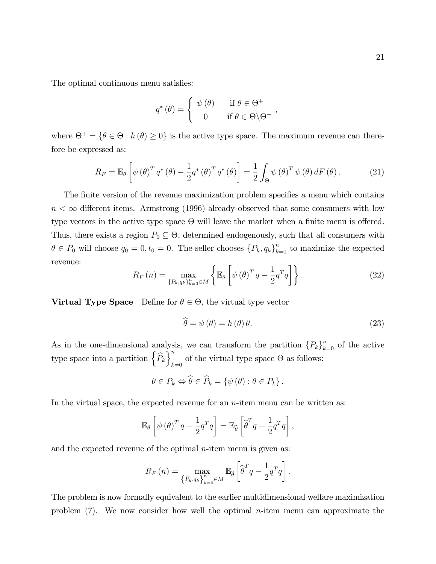The optimal continuous menu satisfies:

$$
q^{\ast}(\theta) = \begin{cases} \psi(\theta) & \text{if } \theta \in \Theta^{+} \\ 0 & \text{if } \theta \in \Theta \backslash \Theta^{+} \end{cases}
$$

where  $\Theta^+ = \{ \theta \in \Theta : h(\theta) \ge 0 \}$  is the active type space. The maximum revenue can therefore be expressed as:

$$
R_F = \mathbb{E}_{\theta} \left[ \psi \left( \theta \right)^T q^* \left( \theta \right) - \frac{1}{2} q^* \left( \theta \right)^T q^* \left( \theta \right) \right] = \frac{1}{2} \int_{\Theta} \psi \left( \theta \right)^T \psi \left( \theta \right) dF \left( \theta \right). \tag{21}
$$

The finite version of the revenue maximization problem specifies a menu which contains  $n < \infty$  different items. Armstrong (1996) already observed that some consumers with low type vectors in the active type space  $\Theta$  will leave the market when a finite menu is offered. Thus, there exists a region  $P_0 \subseteq \Theta$ , determined endogenously, such that all consumers with  $\theta \in P_0$  will choose  $q_0 = 0, t_0 = 0$ . The seller chooses  $\{P_k, q_k\}_{k=0}^n$  to maximize the expected revenue:

$$
R_F(n) = \max_{\{P_k, q_k\}_{k=0}^n \in M} \left\{ \mathbb{E}_{\theta} \left[ \psi \left( \theta \right)^T q - \frac{1}{2} q^T q \right] \right\}.
$$
 (22)

**Virtual Type Space** Define for  $\theta \in \Theta$ , the virtual type vector

$$
\hat{\theta} = \psi(\theta) = h(\theta)\theta.
$$
\n(23)

As in the one-dimensional analysis, we can transform the partition  ${P_k}_{k=0}^n$  of the active type space into a partition  $\left\{\widehat{P}_k\right\}_k^n$ of the virtual type space  $\Theta$  as follows:

$$
\theta \in P_k \Leftrightarrow \widehat{\theta} \in \widehat{P}_k = \{ \psi(\theta) : \theta \in P_k \}.
$$

In the virtual space, the expected revenue for an  $n$ -item menu can be written as:

$$
\mathbb{E}_{\theta}\left[\psi(\theta)^{T} q - \frac{1}{2}q^{T}q\right] = \mathbb{E}_{\widehat{\theta}}\left[\widehat{\theta}^{T} q - \frac{1}{2}q^{T}q\right],
$$

and the expected revenue of the optimal  $n$ -item menu is given as:

$$
R_F(n) = \max_{\left\{\widehat{P}_k, q_k\right\}_{k=0}^n \in M} \mathbb{E}_{\widehat{\theta}}\left[\widehat{\theta}^T q - \frac{1}{2} q^T q\right].
$$

The problem is now formally equivalent to the earlier multidimensional welfare maximization problem (7). We now consider how well the optimal n-item menu can approximate the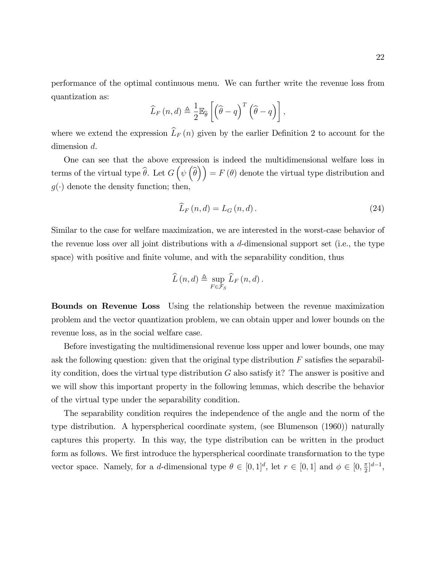$$
\widehat{L}_{F}(n,d) \triangleq \frac{1}{2} \mathbb{E}_{\widehat{\theta}} \left[ \left( \widehat{\theta} - q \right)^{T} \left( \widehat{\theta} - q \right) \right],
$$

where we extend the expression  $\widehat{L}_F(n)$  given by the earlier Definition 2 to account for the dimension d.

One can see that the above expression is indeed the multidimensional welfare loss in terms of the virtual type  $\widehat{\theta}$ . Let  $G\left(\psi\left(\widehat{\theta}\right)\right) = F\left(\theta\right)$  denote the virtual type distribution and  $g(\cdot)$  denote the density function; then,

$$
\widehat{L}_F(n,d) = L_G(n,d). \tag{24}
$$

Similar to the case for welfare maximization, we are interested in the worst-case behavior of the revenue loss over all joint distributions with a  $d$ -dimensional support set (i.e., the type space) with positive and finite volume, and with the separability condition, thus

$$
\widehat{L}(n,d) \triangleq \sup_{F \in \mathcal{F}_S} \widehat{L}_F(n,d).
$$

Bounds on Revenue Loss Using the relationship between the revenue maximization problem and the vector quantization problem, we can obtain upper and lower bounds on the revenue loss, as in the social welfare case.

Before investigating the multidimensional revenue loss upper and lower bounds, one may ask the following question: given that the original type distribution  $F$  satisfies the separability condition, does the virtual type distribution G also satisfy it? The answer is positive and we will show this important property in the following lemmas, which describe the behavior of the virtual type under the separability condition.

The separability condition requires the independence of the angle and the norm of the type distribution. A hyperspherical coordinate system, (see Blumenson (1960)) naturally captures this property. In this way, the type distribution can be written in the product form as follows. We first introduce the hyperspherical coordinate transformation to the type vector space. Namely, for a *d*-dimensional type  $\theta \in [0,1]^d$ , let  $r \in [0,1]$  and  $\phi \in [0,\frac{\pi}{2}]$  $\frac{\pi}{2}]^{d-1},$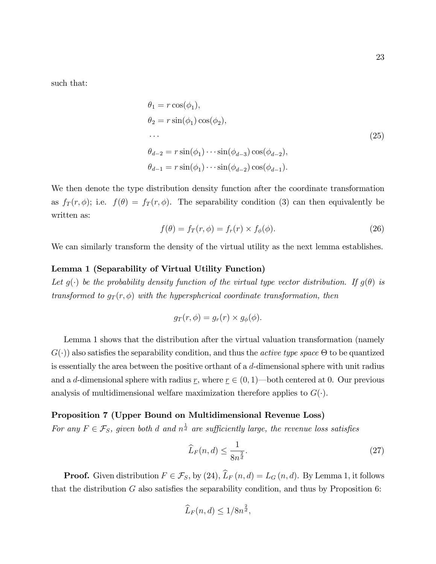such that:

$$
\theta_1 = r \cos(\phi_1),
$$
  
\n
$$
\theta_2 = r \sin(\phi_1) \cos(\phi_2),
$$
  
\n...  
\n
$$
\theta_{d-2} = r \sin(\phi_1) \cdots \sin(\phi_{d-3}) \cos(\phi_{d-2}),
$$
  
\n
$$
\theta_{d-1} = r \sin(\phi_1) \cdots \sin(\phi_{d-2}) \cos(\phi_{d-1}).
$$
\n(25)

We then denote the type distribution density function after the coordinate transformation as  $f_T(r, \phi)$ ; i.e.  $f(\theta) = f_T(r, \phi)$ . The separability condition (3) can then equivalently be written as:

$$
f(\theta) = f_T(r, \phi) = f_r(r) \times f_\phi(\phi).
$$
 (26)

We can similarly transform the density of the virtual utility as the next lemma establishes.

#### Lemma 1 (Separability of Virtual Utility Function)

Let  $g(\cdot)$  be the probability density function of the virtual type vector distribution. If  $g(\theta)$  is transformed to  $g_T(r, \phi)$  with the hyperspherical coordinate transformation, then

$$
g_T(r,\phi) = g_r(r) \times g_{\phi}(\phi).
$$

Lemma 1 shows that the distribution after the virtual valuation transformation (namely  $G(\cdot)$  also satisfies the separability condition, and thus the *active type space*  $\Theta$  to be quantized is essentially the area between the positive orthant of a d-dimensional sphere with unit radius and a d-dimensional sphere with radius r, where  $r \in (0, 1)$ —both centered at 0. Our previous analysis of multidimensional welfare maximization therefore applies to  $G(\cdot)$ .

### Proposition 7 (Upper Bound on Multidimensional Revenue Loss)

For any  $F \in \mathcal{F}_S$ , given both d and  $n^{\frac{1}{d}}$  are sufficiently large, the revenue loss satisfies

$$
\widehat{L}_F(n,d) \le \frac{1}{8n^{\frac{2}{d}}}.\tag{27}
$$

**Proof.** Given distribution  $F \in \mathcal{F}_S$ , by (24),  $\widehat{L}_F(n, d) = L_G(n, d)$ . By Lemma 1, it follows that the distribution  $G$  also satisfies the separability condition, and thus by Proposition 6:

$$
\widehat{L}_F(n,d) \le 1/8n^{\frac{2}{d}},
$$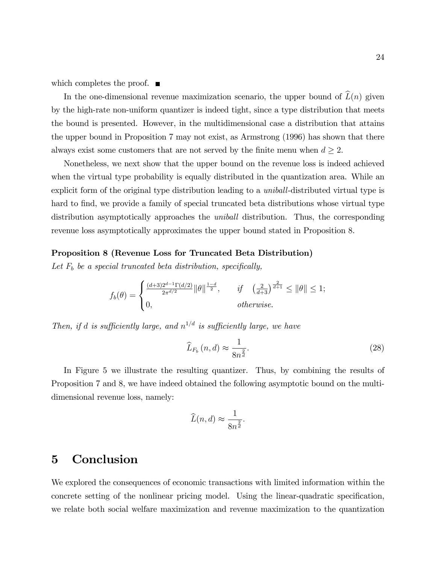which completes the proof.  $\blacksquare$ 

In the one-dimensional revenue maximization scenario, the upper bound of  $\widehat{L}(n)$  given by the high-rate non-uniform quantizer is indeed tight, since a type distribution that meets the bound is presented. However, in the multidimensional case a distribution that attains the upper bound in Proposition 7 may not exist, as Armstrong (1996) has shown that there always exist some customers that are not served by the finite menu when  $d \geq 2$ .

Nonetheless, we next show that the upper bound on the revenue loss is indeed achieved when the virtual type probability is equally distributed in the quantization area. While an explicit form of the original type distribution leading to a uniball-distributed virtual type is hard to find, we provide a family of special truncated beta distributions whose virtual type distribution asymptotically approaches the *uniball* distribution. Thus, the corresponding revenue loss asymptotically approximates the upper bound stated in Proposition 8.

#### Proposition 8 (Revenue Loss for Truncated Beta Distribution)

Let  $F_b$  be a special truncated beta distribution, specifically,

$$
f_b(\theta) = \begin{cases} \frac{(d+3)2^{d-1}\Gamma(d/2)}{2\pi^{d/2}} \|\theta\|^{\frac{1-d}{2}}, & \text{if } \left(\frac{2}{d+3}\right)^{\frac{2}{d+1}} \le \|\theta\| \le 1; \\ 0, & \text{otherwise.} \end{cases}
$$

Then, if d is sufficiently large, and  $n^{1/d}$  is sufficiently large, we have

$$
\widehat{L}_{F_b}\left(n,d\right) \approx \frac{1}{8n^{\frac{2}{d}}}.\tag{28}
$$

In Figure 5 we illustrate the resulting quantizer. Thus, by combining the results of Proposition 7 and 8, we have indeed obtained the following asymptotic bound on the multidimensional revenue loss, namely:

$$
\widehat{L}(n,d) \approx \frac{1}{8n^{\frac{2}{d}}}
$$

:

## 5 Conclusion

We explored the consequences of economic transactions with limited information within the concrete setting of the nonlinear pricing model. Using the linear-quadratic specification, we relate both social welfare maximization and revenue maximization to the quantization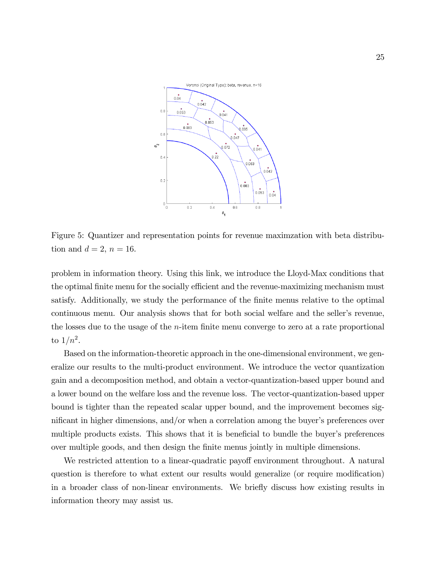

Figure 5: Quantizer and representation points for revenue maximzation with beta distribution and  $d = 2$ ,  $n = 16$ .

problem in information theory. Using this link, we introduce the Lloyd-Max conditions that the optimal finite menu for the socially efficient and the revenue-maximizing mechanism must satisfy. Additionally, we study the performance of the Önite menus relative to the optimal continuous menu. Our analysis shows that for both social welfare and the seller's revenue, the losses due to the usage of the *n*-item finite menu converge to zero at a rate proportional to  $1/n^2$ .

Based on the information-theoretic approach in the one-dimensional environment, we generalize our results to the multi-product environment. We introduce the vector quantization gain and a decomposition method, and obtain a vector-quantization-based upper bound and a lower bound on the welfare loss and the revenue loss. The vector-quantization-based upper bound is tighter than the repeated scalar upper bound, and the improvement becomes significant in higher dimensions, and/or when a correlation among the buyer's preferences over multiple products exists. This shows that it is beneficial to bundle the buyer's preferences over multiple goods, and then design the Önite menus jointly in multiple dimensions.

We restricted attention to a linear-quadratic payoff environment throughout. A natural question is therefore to what extent our results would generalize (or require modification) in a broader class of non-linear environments. We briefly discuss how existing results in information theory may assist us.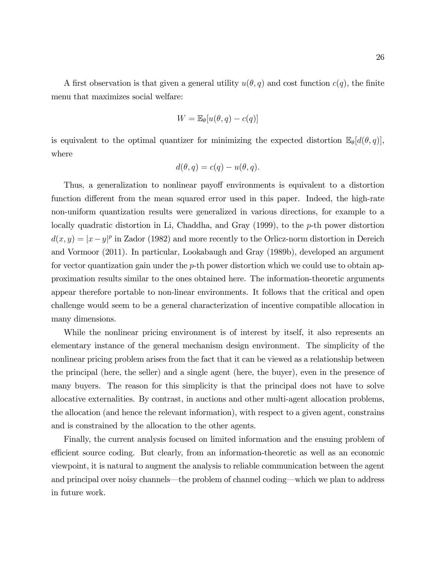A first observation is that given a general utility  $u(\theta, q)$  and cost function  $c(q)$ , the finite menu that maximizes social welfare:

$$
W = \mathbb{E}_{\theta}[u(\theta, q) - c(q)]
$$

is equivalent to the optimal quantizer for minimizing the expected distortion  $\mathbb{E}_{\theta}[d(\theta, q)],$ where

$$
d(\theta, q) = c(q) - u(\theta, q).
$$

Thus, a generalization to nonlinear payoff environments is equivalent to a distortion function different from the mean squared error used in this paper. Indeed, the high-rate non-uniform quantization results were generalized in various directions, for example to a locally quadratic distortion in Li, Chaddha, and Gray (1999), to the p-th power distortion  $d(x, y) = |x - y|^p$  in Zador (1982) and more recently to the Orlicz-norm distortion in Dereich and Vormoor (2011). In particular, Lookabaugh and Gray (1989b), developed an argument for vector quantization gain under the p-th power distortion which we could use to obtain approximation results similar to the ones obtained here. The information-theoretic arguments appear therefore portable to non-linear environments. It follows that the critical and open challenge would seem to be a general characterization of incentive compatible allocation in many dimensions.

While the nonlinear pricing environment is of interest by itself, it also represents an elementary instance of the general mechanism design environment. The simplicity of the nonlinear pricing problem arises from the fact that it can be viewed as a relationship between the principal (here, the seller) and a single agent (here, the buyer), even in the presence of many buyers. The reason for this simplicity is that the principal does not have to solve allocative externalities. By contrast, in auctions and other multi-agent allocation problems, the allocation (and hence the relevant information), with respect to a given agent, constrains and is constrained by the allocation to the other agents.

Finally, the current analysis focused on limited information and the ensuing problem of efficient source coding. But clearly, from an information-theoretic as well as an economic viewpoint, it is natural to augment the analysis to reliable communication between the agent and principal over noisy channels—the problem of channel coding—which we plan to address in future work.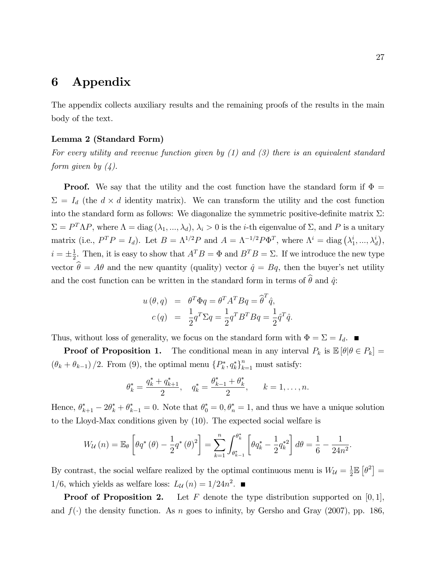## 6 Appendix

The appendix collects auxiliary results and the remaining proofs of the results in the main body of the text.

### Lemma 2 (Standard Form)

For every utility and revenue function given by  $(1)$  and  $(3)$  there is an equivalent standard form given by  $(4)$ .

**Proof.** We say that the utility and the cost function have the standard form if  $\Phi =$  $\Sigma = I_d$  (the  $d \times d$  identity matrix). We can transform the utility and the cost function into the standard form as follows: We diagonalize the symmetric positive-definite matrix  $\Sigma$ :  $\Sigma = P^T \Lambda P$ , where  $\Lambda = \text{diag}(\lambda_1, ..., \lambda_d), \lambda_i > 0$  is the *i*-th eigenvalue of  $\Sigma$ , and P is a unitary matrix (i.e.,  $P^T P = I_d$ ). Let  $B = \Lambda^{1/2} P$  and  $A = \Lambda^{-1/2} P \Phi^T$ , where  $\Lambda^i = \text{diag}(\lambda_1^i)$  $i, \ldots, \lambda_d^i),$  $i = \pm \frac{1}{2}$  $\frac{1}{2}$ . Then, it is easy to show that  $A^T B = \Phi$  and  $B^T B = \Sigma$ . If we introduce the new type vector  $\hat{\theta} = A\theta$  and the new quantity (quality) vector  $\hat{q} = Bq$ , then the buyer's net utility and the cost function can be written in the standard form in terms of  $\hat{\theta}$  and  $\hat{q}$ :

$$
u(\theta, q) = \theta^T \Phi q = \theta^T A^T B q = \hat{\theta}^T \hat{q},
$$
  

$$
c(q) = \frac{1}{2} q^T \Sigma q = \frac{1}{2} q^T B^T B q = \frac{1}{2} \hat{q}^T \hat{q}.
$$

Thus, without loss of generality, we focus on the standard form with  $\Phi = \Sigma = I_d$ .

**Proof of Proposition 1.** The conditional mean in any interval  $P_k$  is  $\mathbb{E}[\theta | \theta \in P_k] =$  $(\theta_k + \theta_{k-1})/2$ . From (9), the optimal menu  $\{P_k^*, q_k^*\}_{k=1}^n$  must satisfy:

$$
\theta_k^* = \frac{q_k^* + q_{k+1}^*}{2}, \quad q_k^* = \frac{\theta_{k-1}^* + \theta_k^*}{2}, \quad k = 1, \dots, n.
$$

Hence,  $\theta_{k+1}^* - 2\theta_k^* + \theta_{k-1}^* = 0$ . Note that  $\theta_0^* = 0$ ,  $\theta_n^* = 1$ , and thus we have a unique solution to the Lloyd-Max conditions given by (10). The expected social welfare is

$$
W_{\mathcal{U}}(n) = \mathbb{E}_{\theta} \left[ \theta q^* \left( \theta \right) - \frac{1}{2} q^* \left( \theta \right)^2 \right] = \sum_{k=1}^n \int_{\theta_{k-1}^*}^{\theta_k^*} \left[ \theta q_k^* - \frac{1}{2} q_k^{*2} \right] d\theta = \frac{1}{6} - \frac{1}{24n^2}.
$$

By contrast, the social welfare realized by the optimal continuous menu is  $W_{\mathcal{U}} = \frac{1}{2}$  $\frac{1}{2}\mathbb{E}\left[\theta^2\right] =$ 1/6, which yields as welfare loss:  $L_{\mathcal{U}}(n) = 1/24n^2$ .

**Proof of Proposition 2.** Let F denote the type distribution supported on  $[0, 1]$ , and  $f(\cdot)$  the density function. As n goes to infinity, by Gersho and Gray (2007), pp. 186,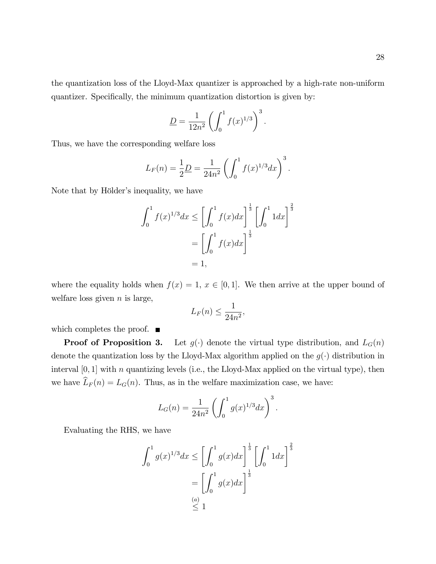the quantization loss of the Lloyd-Max quantizer is approached by a high-rate non-uniform quantizer. Specifically, the minimum quantization distortion is given by:

$$
\underline{D} = \frac{1}{12n^2} \left( \int_0^1 f(x)^{1/3} \right)^3.
$$

Thus, we have the corresponding welfare loss

$$
L_F(n) = \frac{1}{2} \underline{D} = \frac{1}{24n^2} \left( \int_0^1 f(x)^{1/3} dx \right)^3.
$$

Note that by Hölder's inequality, we have

$$
\int_0^1 f(x)^{1/3} dx \le \left[ \int_0^1 f(x) dx \right]^{\frac{1}{3}} \left[ \int_0^1 1 dx \right]^{\frac{2}{3}}
$$

$$
= \left[ \int_0^1 f(x) dx \right]^{\frac{1}{3}}
$$

$$
= 1,
$$

where the equality holds when  $f(x) = 1, x \in [0, 1]$ . We then arrive at the upper bound of welfare loss given  $n$  is large,

$$
L_F(n) \le \frac{1}{24n^2},
$$

which completes the proof.  $\blacksquare$ 

**Proof of Proposition 3.** Let  $g(\cdot)$  denote the virtual type distribution, and  $L_G(n)$ denote the quantization loss by the Lloyd-Max algorithm applied on the  $g(\cdot)$  distribution in interval  $[0, 1]$  with n quantizing levels (i.e., the Lloyd-Max applied on the virtual type), then we have  $\widehat{L}_F(n) = L_G(n)$ . Thus, as in the welfare maximization case, we have:

$$
L_G(n) = \frac{1}{24n^2} \left( \int_0^1 g(x)^{1/3} dx \right)^3.
$$

Evaluating the RHS, we have

$$
\int_0^1 g(x)^{1/3} dx \le \left[ \int_0^1 g(x) dx \right]^{\frac{1}{3}} \left[ \int_0^1 1 dx \right]^{\frac{2}{3}}
$$

$$
= \left[ \int_0^1 g(x) dx \right]^{\frac{1}{3}}
$$

$$
\le 1
$$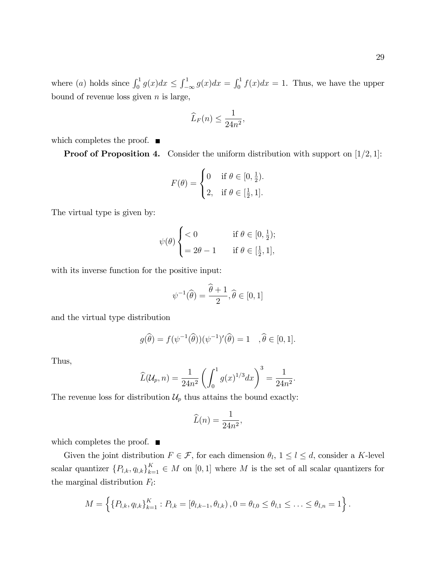where (a) holds since  $\int_0^1 g(x)dx \le \int_{-\infty}^1 g(x)dx = \int_0^1 f(x)dx = 1$ . Thus, we have the upper bound of revenue loss given  $n$  is large,

$$
\widehat{L}_F(n) \le \frac{1}{24n^2},
$$

which completes the proof.  $\blacksquare$ 

**Proof of Proposition 4.** Consider the uniform distribution with support on  $[1/2, 1]$ :

$$
F(\theta) = \begin{cases} 0 & \text{if } \theta \in [0, \frac{1}{2}).\\ 2, & \text{if } \theta \in [\frac{1}{2}, 1]. \end{cases}
$$

The virtual type is given by:

$$
\psi(\theta) \begin{cases} < 0 & \text{if } \theta \in [0, \frac{1}{2}); \\ = 2\theta - 1 & \text{if } \theta \in [\frac{1}{2}, 1], \end{cases}
$$

with its inverse function for the positive input:

$$
\psi^{-1}(\widehat{\theta}) = \frac{\widehat{\theta} + 1}{2}, \widehat{\theta} \in [0, 1]
$$

and the virtual type distribution

$$
g(\widehat{\theta}) = f(\psi^{-1}(\widehat{\theta}))(\psi^{-1})'(\widehat{\theta}) = 1 \quad , \widehat{\theta} \in [0, 1].
$$

Thus,

$$
\widehat{L}(\mathcal{U}_p, n) = \frac{1}{24n^2} \left( \int_0^1 g(x)^{1/3} dx \right)^3 = \frac{1}{24n^2}.
$$

The revenue loss for distribution  $\mathcal{U}_p$  thus attains the bound exactly:

$$
\widehat{L}(n) = \frac{1}{24n^2},
$$

which completes the proof.  $\blacksquare$ 

Given the joint distribution  $F \in \mathcal{F}$ , for each dimension  $\theta_l$ ,  $1 \leq l \leq d$ , consider a K-level scalar quantizer  ${P_{l,k}, q_{l,k}}_{k=1}^K \in M$  on [0, 1] where M is the set of all scalar quantizers for the marginal distribution  $F_l$ :

$$
M = \left\{ \{P_{l,k}, q_{l,k} \}_{k=1}^K : P_{l,k} = [\theta_{l,k-1}, \theta_{l,k}), 0 = \theta_{l,0} \le \theta_{l,1} \le \ldots \le \theta_{l,n} = 1 \right\}.
$$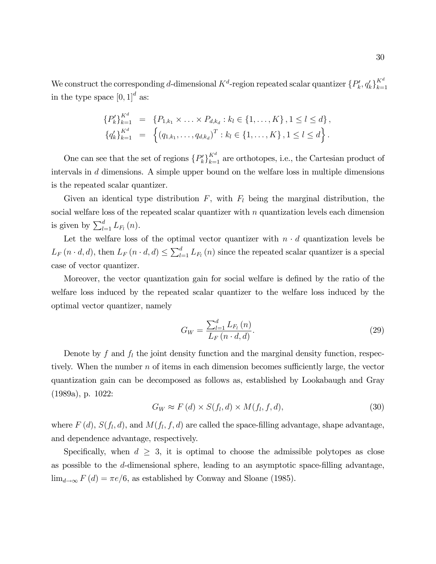We construct the corresponding d-dimensional  $K^d$ -region repeated scalar quantizer  $\{P_k', q_k'\}$  $K^d$  $_{k=1}$ in the type space  $[0, 1]^d$  as:

$$
\{P'_k\}_{k=1}^{K^d} = \{P_{1,k_1} \times \ldots \times P_{d,k_d} : k_l \in \{1, \ldots, K\}, 1 \le l \le d\},
$$
  

$$
\{q'_k\}_{k=1}^{K^d} = \left\{(q_{1,k_1}, \ldots, q_{d,k_d})^T : k_l \in \{1, \ldots, K\}, 1 \le l \le d\right\}.
$$

One can see that the set of regions  $\{P_k'\}$  $K_{k=1}^d$  are orthotopes, i.e., the Cartesian product of intervals in d dimensions. A simple upper bound on the welfare loss in multiple dimensions is the repeated scalar quantizer.

Given an identical type distribution  $F$ , with  $F<sub>l</sub>$  being the marginal distribution, the social welfare loss of the repeated scalar quantizer with  $n$  quantization levels each dimension is given by  $\sum_{l=1}^{d} L_{F_l}(n)$ .

Let the welfare loss of the optimal vector quantizer with  $n \cdot d$  quantization levels be  $L_F(n \cdot d, d)$ , then  $L_F(n \cdot d, d) \leq \sum_{l=1}^d L_{F_l}(n)$  since the repeated scalar quantizer is a special case of vector quantizer.

Moreover, the vector quantization gain for social welfare is defined by the ratio of the welfare loss induced by the repeated scalar quantizer to the welfare loss induced by the optimal vector quantizer, namely

$$
G_W = \frac{\sum_{l=1}^{d} L_{F_l}(n)}{L_F(n \cdot d, d)}.
$$
\n(29)

Denote by f and  $f_l$  the joint density function and the marginal density function, respectively. When the number  $n$  of items in each dimension becomes sufficiently large, the vector quantization gain can be decomposed as follows as, established by Lookabaugh and Gray (1989a), p. 1022:

$$
G_W \approx F(d) \times S(f_l, d) \times M(f_l, f, d), \tag{30}
$$

where  $F(d)$ ,  $S(f_l, d)$ , and  $M(f_l, f, d)$  are called the space-filling advantage, shape advantage, and dependence advantage, respectively.

Specifically, when  $d \geq 3$ , it is optimal to choose the admissible polytopes as close as possible to the  $d$ -dimensional sphere, leading to an asymptotic space-filling advantage,  $\lim_{d\to\infty} F(d) = \pi e/6$ , as established by Conway and Sloane (1985).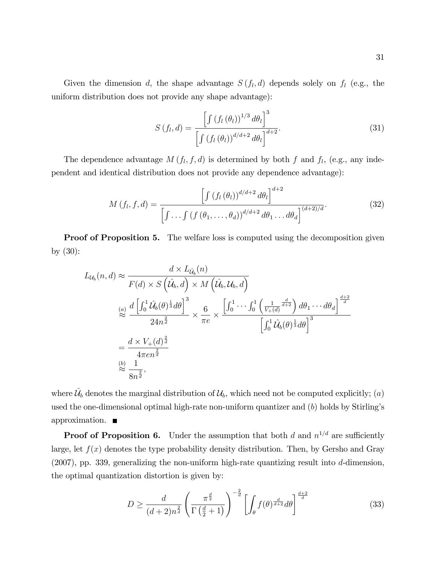Given the dimension d, the shape advantage  $S(f_l, d)$  depends solely on  $f_l$  (e.g., the uniform distribution does not provide any shape advantage):

$$
S\left(f_l, d\right) = \frac{\left[\int \left(f_l\left(\theta_l\right)\right)^{1/3} d\theta_l\right]^3}{\left[\int \left(f_l\left(\theta_l\right)\right)^{d/d+2} d\theta_l\right]^{d+2}}.
$$
\n(31)

The dependence advantage  $M(f_l, f, d)$  is determined by both f and  $f_l$ , (e.g., any independent and identical distribution does not provide any dependence advantage):

$$
M(f_l, f, d) = \frac{\left[\int (f_l(\theta_l))^{d/d+2} d\theta_l\right]^{d+2}}{\left[\int \ldots \int (f(\theta_1, \ldots, \theta_d))^{d/d+2} d\theta_1 \ldots d\theta_d\right]^{(d+2)/d}}.
$$
(32)

**Proof of Proposition 5.** The welfare loss is computed using the decomposition given by (30):

$$
L_{\mathcal{U}_b}(n, d) \approx \frac{d \times L_{\hat{\mathcal{U}}_b}(n)}{F(d) \times S\left(\hat{\mathcal{U}}_b, d\right) \times M\left(\hat{\mathcal{U}}_b, \mathcal{U}_b, d\right)}
$$
  
\n
$$
\overset{(a)}{\approx} \frac{d\left[\int_0^1 \hat{\mathcal{U}}_b(\theta)^{\frac{1}{3}} d\theta\right]^3}{24n^{\frac{2}{d}}} \times \frac{6}{\pi e} \times \frac{\left[\int_0^1 \cdots \int_0^1 \left(\frac{1}{V_+(d)}\frac{d}{d+2}\right) d\theta_1 \cdots d\theta_d\right]^{\frac{d+2}{d}}}{\left[\int_0^1 \hat{\mathcal{U}}_b(\theta)^{\frac{1}{3}} d\theta\right]^3}
$$
  
\n
$$
\approx \frac{d \times V_+(d)^{\frac{2}{d}}}{4\pi e n^{\frac{2}{d}}}
$$
  
\n
$$
\overset{(b)}{\approx} \frac{1}{8n^{\frac{2}{d}}},
$$

where  $\hat{\mathcal{U}}_b$  denotes the marginal distribution of  $\mathcal{U}_b$ , which need not be computed explicitly; (a) used the one-dimensional optimal high-rate non-uniform quantizer and  $(b)$  holds by Stirling's approximation.

**Proof of Proposition 6.** Under the assumption that both d and  $n^{1/d}$  are sufficiently large, let  $f(x)$  denotes the type probability density distribution. Then, by Gersho and Gray  $(2007)$ , pp. 339, generalizing the non-uniform high-rate quantizing result into d-dimension, the optimal quantization distortion is given by:

$$
D \ge \frac{d}{(d+2)n^{\frac{2}{d}}} \left(\frac{\pi^{\frac{d}{2}}}{\Gamma(\frac{d}{2}+1)}\right)^{-\frac{2}{d}} \left[\int_{\theta} f(\theta)^{\frac{d}{d+2}} d\theta\right]^{\frac{d+2}{d}} \tag{33}
$$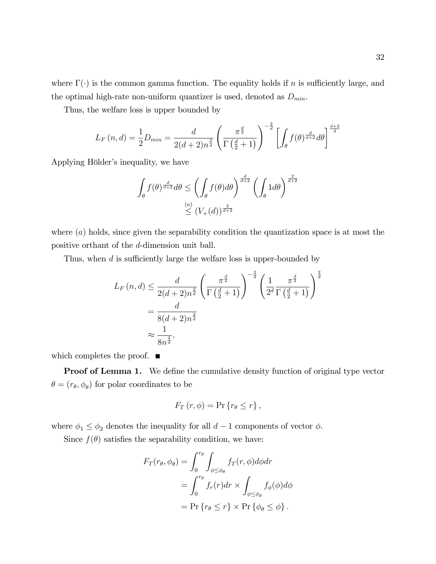where  $\Gamma(\cdot)$  is the common gamma function. The equality holds if n is sufficiently large, and the optimal high-rate non-uniform quantizer is used, denoted as  $D_{min}$ .

Thus, the welfare loss is upper bounded by

$$
L_F(n,d) = \frac{1}{2}D_{min} = \frac{d}{2(d+2)n^{\frac{2}{d}}} \left(\frac{\pi^{\frac{d}{2}}}{\Gamma(\frac{d}{2}+1)}\right)^{-\frac{2}{d}} \left[\int_{\theta} f(\theta)^{\frac{d}{d+2}} d\theta\right]^{\frac{d+2}{d}}
$$

Applying Hölder's inequality, we have

$$
\int_{\theta} f(\theta)^{\frac{d}{d+2}} d\theta \le \left( \int_{\theta} f(\theta) d\theta \right)^{\frac{d}{d+2}} \left( \int_{\theta} 1 d\theta \right)^{\frac{2}{d+2}}
$$

$$
\le \left( V_+(d) \right)^{\frac{2}{d+2}}
$$

where  $(a)$  holds, since given the separability condition the quantization space is at most the positive orthant of the d-dimension unit ball.

Thus, when  $d$  is sufficiently large the welfare loss is upper-bounded by

$$
L_F(n,d) \le \frac{d}{2(d+2)n^{\frac{2}{d}}} \left(\frac{\pi^{\frac{d}{2}}}{\Gamma(\frac{d}{2}+1)}\right)^{-\frac{2}{d}} \left(\frac{1}{2^d} \frac{\pi^{\frac{d}{2}}}{\Gamma(\frac{d}{2}+1)}\right)^{\frac{2}{d}}
$$
  
=  $\frac{d}{8(d+2)n^{\frac{2}{d}}}$   
 $\approx \frac{1}{8n^{\frac{2}{d}}},$ 

which completes the proof.  $\blacksquare$ 

**Proof of Lemma 1.** We define the cumulative density function of original type vector  $\theta = (r_{\theta}, \phi_{\theta})$  for polar coordinates to be

$$
F_T(r,\phi) = \Pr\{r_\theta \le r\},\,
$$

where  $\phi_1 \leq \phi_2$  denotes the inequality for all  $d-1$  components of vector  $\phi$ .

Since  $f(\theta)$  satisfies the separability condition, we have:

$$
F_T(r_\theta, \phi_\theta) = \int_0^{r_\theta} \int_{\phi \le \phi_\theta} f_T(r, \phi) d\phi dr
$$
  
= 
$$
\int_0^{r_\theta} f_r(r) dr \times \int_{\phi \le \phi_\theta} f_\phi(\phi) d\phi
$$
  
= 
$$
\Pr \{ r_\theta \le r \} \times \Pr \{ \phi_\theta \le \phi \} .
$$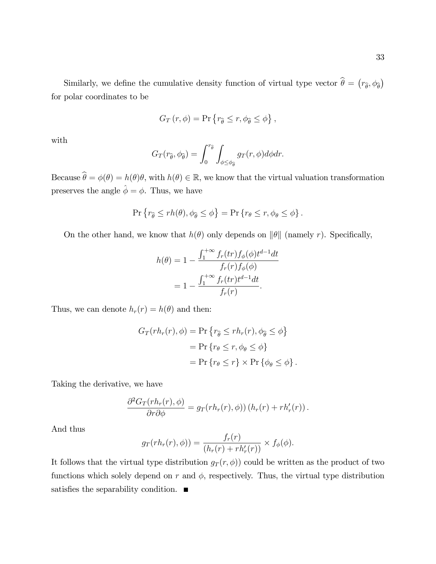33

Similarly, we define the cumulative density function of virtual type vector  $\hat{\theta} = (r_{\hat{\theta}}, \phi_{\hat{\theta}})$ for polar coordinates to be

$$
G_T(r,\phi) = \Pr\left\{r_{\widehat{\theta}} \le r, \phi_{\widehat{\theta}} \le \phi\right\},\,
$$

with

$$
G_T(r_{\widehat{\theta}}, \phi_{\widehat{\theta}}) = \int_0^{r_{\widehat{\theta}}} \int_{\phi \le \phi_{\widehat{\theta}}} g_T(r, \phi) d\phi dr.
$$

Because  $\theta = \phi(\theta) = h(\theta)\theta$ , with  $h(\theta) \in \mathbb{R}$ , we know that the virtual valuation transformation preserves the angle  $\hat{\boldsymbol{\phi}} = \boldsymbol{\phi}.$  Thus, we have

$$
\Pr\left\{r_{\widehat{\theta}}\leq rh(\theta),\phi_{\widehat{\theta}}\leq\phi\right\}=\Pr\left\{r_{\theta}\leq r,\phi_{\theta}\leq\phi\right\}.
$$

On the other hand, we know that  $h(\theta)$  only depends on  $\|\theta\|$  (namely r). Specifically,

$$
h(\theta) = 1 - \frac{\int_1^{+\infty} f_r(tr) f_{\phi}(\phi) t^{d-1} dt}{f_r(r) f_{\phi}(\phi)}
$$
  
= 
$$
1 - \frac{\int_1^{+\infty} f_r(tr) t^{d-1} dt}{f_r(r)}.
$$

Thus, we can denote  $h_r(r) = h(\theta)$  and then:

$$
G_T(rh_r(r), \phi) = \Pr \{ r_{\hat{\theta}} \le rh_r(r), \phi_{\hat{\theta}} \le \phi \}
$$
  
= 
$$
\Pr \{ r_{\theta} \le r, \phi_{\theta} \le \phi \}
$$
  
= 
$$
\Pr \{ r_{\theta} \le r \} \times \Pr \{ \phi_{\theta} \le \phi \}.
$$

Taking the derivative, we have

$$
\frac{\partial^2 G_T(r h_r(r), \phi)}{\partial r \partial \phi} = g_T(r h_r(r), \phi) \big( h_r(r) + r h'_r(r) \big).
$$

And thus

$$
g_T(r h_r(r), \phi) = \frac{f_r(r)}{(h_r(r) + r h'_r(r))} \times f_{\phi}(\phi).
$$

It follows that the virtual type distribution  $g_T(r, \phi)$  could be written as the product of two functions which solely depend on r and  $\phi$ , respectively. Thus, the virtual type distribution satisfies the separability condition.  $\blacksquare$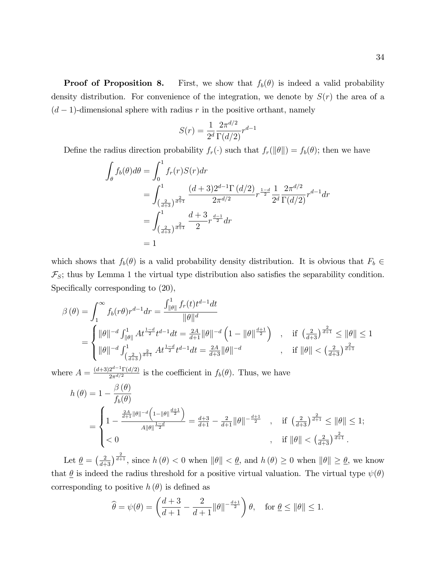**Proof of Proposition 8.** First, we show that  $f_b(\theta)$  is indeed a valid probability density distribution. For convenience of the integration, we denote by  $S(r)$  the area of a  $(d-1)$ -dimensional sphere with radius r in the positive orthant, namely

$$
S(r) = \frac{1}{2^d} \frac{2\pi^{d/2}}{\Gamma(d/2)} r^{d-1}
$$

Define the radius direction probability  $f_r(\cdot)$  such that  $f_r(\|\theta\|) = f_b(\theta)$ ; then we have

$$
\int_{\theta} f_b(\theta) d\theta = \int_0^1 f_r(r) S(r) dr
$$
\n
$$
= \int_{\left(\frac{2}{d+3}\right)^{\frac{2}{d+1}}}^1 \frac{(d+3)2^{d-1} \Gamma(d/2)}{2\pi^{d/2}} r^{\frac{1-d}{2}} \frac{1}{2^d} \frac{2\pi^{d/2}}{\Gamma(d/2)} r^{d-1} dr
$$
\n
$$
= \int_{\left(\frac{2}{d+3}\right)^{\frac{2}{d+1}}}^1 \frac{d+3}{2} r^{\frac{d-1}{2}} dr
$$
\n
$$
= 1
$$

which shows that  $f_b(\theta)$  is a valid probability density distribution. It is obvious that  $F_b \in$  $\mathcal{F}_S$ ; thus by Lemma 1 the virtual type distribution also satisfies the separability condition. Specifically corresponding to  $(20)$ ,

$$
\beta(\theta) = \int_{1}^{\infty} f_{b}(r\theta)r^{d-1}dr = \frac{\int_{\|\theta\|}^{1} f_{r}(t)t^{d-1}dt}{\|\theta\|^{d}}
$$
  
= 
$$
\begin{cases} \|\theta\|^{-d} \int_{\|\theta\|}^{1} At^{\frac{1-d}{2}}t^{d-1}dt = \frac{2A}{d+1}\|\theta\|^{-d} \left(1 - \|\theta\|^{\frac{d+1}{2}}\right) & , \text{ if } \left(\frac{2}{d+3}\right)^{\frac{2}{d+1}} \le \|\theta\| \le 1 \\ \|\theta\|^{-d} \int_{\left(\frac{2}{d+3}\right)^{\frac{2}{d+1}}}^{1} At^{\frac{1-d}{2}}t^{d-1}dt = \frac{2A}{d+3}\|\theta\|^{-d} & , \text{ if } \|\theta\| < \left(\frac{2}{d+3}\right)^{\frac{2}{d+1}} \end{cases}
$$

where  $A = \frac{(d+3)2^{d-1}\Gamma(d/2)}{2\pi^{d/2}}$  $\frac{2^{a-1} \Gamma(d/2)}{2\pi^{d/2}}$  is the coefficient in  $f_b(\theta)$ . Thus, we have

$$
h(\theta) = 1 - \frac{\beta(\theta)}{f_b(\theta)}
$$
  
= 
$$
\begin{cases} 1 - \frac{\frac{2A}{d+1} \|\theta\|^{-d} \left(1 - \|\theta\|^{\frac{d+1}{2}}\right)}{A \|\theta\|^{\frac{1-d}{2}}} = \frac{d+3}{d+1} - \frac{2}{d+1} \|\theta\|^{-\frac{d+1}{2}} , & \text{if } \left(\frac{2}{d+3}\right)^{\frac{2}{d+1}} \le \|\theta\| \le 1; \\ & < 0 & , \text{if } \|\theta\| < \left(\frac{2}{d+3}\right)^{\frac{2}{d+1}} . \end{cases}
$$

Let  $\underline{\theta} = \left(\frac{2}{d+3}\right)^{\frac{2}{d+1}}$ , since  $h(\theta) < 0$  when  $\|\theta\| < \underline{\theta}$ , and  $h(\theta) \ge 0$  when  $\|\theta\| \ge \underline{\theta}$ , we know that  $\underline{\theta}$  is indeed the radius threshold for a positive virtual valuation. The virtual type  $\psi(\theta)$ corresponding to positive  $h(\theta)$  is defined as

$$
\widehat{\theta} = \psi(\theta) = \left(\frac{d+3}{d+1} - \frac{2}{d+1} ||\theta||^{-\frac{d+1}{2}}\right)\theta, \quad \text{for } \underline{\theta} \le ||\theta|| \le 1.
$$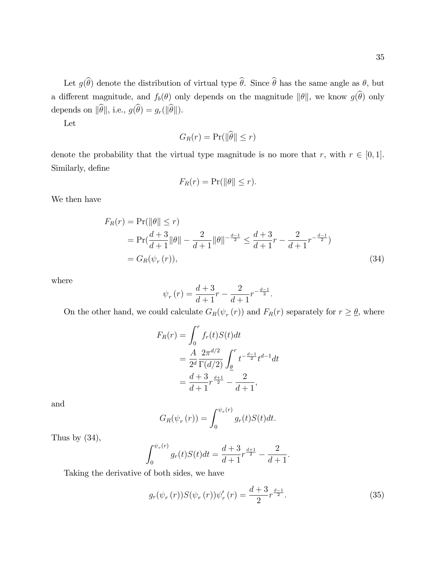Let  $g(\widehat{\theta})$  denote the distribution of virtual type  $\widehat{\theta}$ . Since  $\widehat{\theta}$  has the same angle as  $\theta$ , but a different magnitude, and  $f_b(\theta)$  only depends on the magnitude  $\|\theta\|$ , we know  $g(\widehat{\theta})$  only depends on  $\|\widehat{\theta}\|$ , i.e.,  $g(\widehat{\theta}) = g_r(\|\widehat{\theta}\|)$ .

Let

$$
G_R(r) = \Pr(\|\theta\| \le r)
$$

denote the probability that the virtual type magnitude is no more that  $r$ , with  $r \in [0, 1]$ . Similarly, define

$$
F_R(r) = \Pr(||\theta|| \le r).
$$

We then have

$$
F_R(r) = \Pr(||\theta|| \le r)
$$
  
=  $\Pr(\frac{d+3}{d+1} ||\theta|| - \frac{2}{d+1} ||\theta||^{-\frac{d-1}{2}} \le \frac{d+3}{d+1}r - \frac{2}{d+1}r^{-\frac{d-1}{2}})$   
=  $G_R(\psi_r(r)),$  (34)

where

$$
\psi_r(r) = \frac{d+3}{d+1}r - \frac{2}{d+1}r^{-\frac{d-1}{2}}.
$$

On the other hand, we could calculate  $G_R(\psi_r(r))$  and  $F_R(r)$  separately for  $r \geq \underline{\theta}$ , where

$$
F_R(r) = \int_0^r f_r(t)S(t)dt
$$
  
=  $\frac{A}{2^d} \frac{2\pi^{d/2}}{\Gamma(d/2)} \int_{\underline{\theta}}^r t^{-\frac{d-1}{2}} t^{d-1} dt$   
=  $\frac{d+3}{d+1} r^{\frac{d+1}{2}} - \frac{2}{d+1}$ ,

and

$$
G_R(\psi_r(r)) = \int_0^{\psi_r(r)} g_r(t)S(t)dt.
$$

Thus by  $(34)$ ,

$$
\int_0^{\psi_r(r)} g_r(t)S(t)dt = \frac{d+3}{d+1}r^{\frac{d+1}{2}} - \frac{2}{d+1}.
$$

Taking the derivative of both sides, we have

$$
g_r(\psi_r(r))S(\psi_r(r))\psi'_r(r) = \frac{d+3}{2}r^{\frac{d-1}{2}}.
$$
\n(35)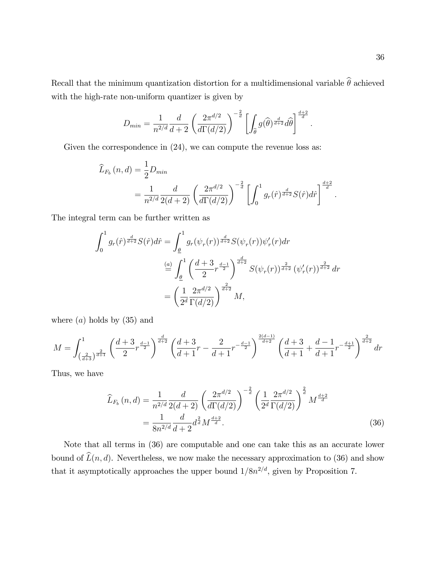Recall that the minimum quantization distortion for a multidimensional variable  $\widehat{\theta}$  achieved with the high-rate non-uniform quantizer is given by

$$
D_{min} = \frac{1}{n^{2/d}} \frac{d}{d+2} \left(\frac{2\pi^{d/2}}{d\Gamma(d/2)}\right)^{-\frac{2}{d}} \left[\int_{\widehat{\theta}} g(\widehat{\theta})^{\frac{d}{d+2}} d\widehat{\theta}\right]^{\frac{d+2}{d}}.
$$

Given the correspondence in  $(24)$ , we can compute the revenue loss as:

$$
\begin{split} \widehat{L}_{F_b}\left(n,d\right) &= \frac{1}{2}D_{min} \\ &= \frac{1}{n^{2/d}}\frac{d}{2(d+2)}\left(\frac{2\pi^{d/2}}{d\Gamma(d/2)}\right)^{-\frac{2}{d}}\left[\int_0^1 g_r(\hat{r})^{\frac{d}{d+2}}S(\hat{r})d\hat{r}\right]^{\frac{d+2}{d}}. \end{split}
$$

The integral term can be further written as

$$
\int_0^1 g_r(\hat{r})^{\frac{d}{d+2}} S(\hat{r}) d\hat{r} = \int_{\underline{\theta}}^1 g_r(\psi_r(r))^{\frac{d}{d+2}} S(\psi_r(r)) \psi'_r(r) dr
$$
  

$$
\stackrel{(a)}{=} \int_{\underline{\theta}}^1 \left(\frac{d+3}{2} r^{\frac{d-1}{2}}\right)^{\frac{d}{d+2}} S(\psi_r(r))^{\frac{2}{d+2}} (\psi'_r(r))^{\frac{2}{d+2}} dr
$$
  

$$
= \left(\frac{1}{2^d} \frac{2\pi^{d/2}}{\Gamma(d/2)}\right)^{\frac{2}{d+2}} M,
$$

where  $(a)$  holds by  $(35)$  and

$$
M = \int_{\left(\frac{2}{d+3}\right)^{\frac{2}{d+1}}}^1 \left(\frac{d+3}{2}r^{\frac{d-1}{2}}\right)^{\frac{d}{d+2}} \left(\frac{d+3}{d+1}r - \frac{2}{d+1}r^{-\frac{d-1}{2}}\right)^{\frac{2(d-1)}{d+2}} \left(\frac{d+3}{d+1} + \frac{d-1}{d+1}r^{-\frac{d+1}{2}}\right)^{\frac{2}{d+2}} dr
$$

Thus, we have

$$
\widehat{L}_{F_b}(n,d) = \frac{1}{n^{2/d}} \frac{d}{2(d+2)} \left(\frac{2\pi^{d/2}}{d\Gamma(d/2)}\right)^{-\frac{2}{d}} \left(\frac{1}{2^d} \frac{2\pi^{d/2}}{\Gamma(d/2)}\right)^{\frac{2}{d}} M^{\frac{d+2}{d}}
$$
\n
$$
= \frac{1}{8n^{2/d}} \frac{d}{d+2} d^{\frac{2}{d}} M^{\frac{d+2}{d}}.
$$
\n(36)

Note that all terms in (36) are computable and one can take this as an accurate lower bound of  $\widehat{L}(n, d)$ . Nevertheless, we now make the necessary approximation to (36) and show that it asymptotically approaches the upper bound  $1/8n^{2/d}$ , given by Proposition 7.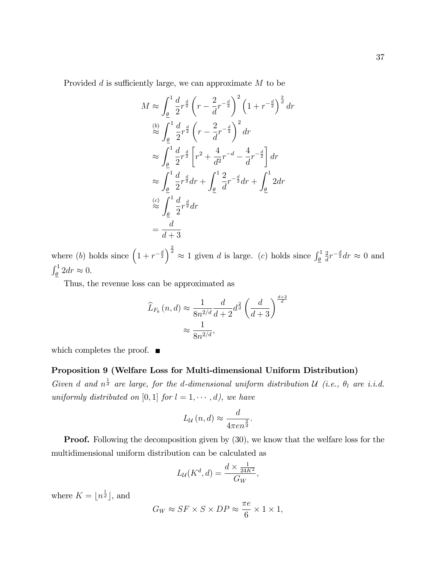Provided  $d$  is sufficiently large, we can approximate  $M$  to be

$$
M \approx \int_{\frac{\theta}{2}}^{1} \frac{d}{2} r^{\frac{d}{2}} \left( r - \frac{2}{d} r^{-\frac{d}{2}} \right)^2 \left( 1 + r^{-\frac{d}{2}} \right)^{\frac{2}{d}} dr
$$
  
\n
$$
\approx \int_{\frac{\theta}{2}}^{1} \frac{d}{2} r^{\frac{d}{2}} \left( r - \frac{2}{d} r^{-\frac{d}{2}} \right)^2 dr
$$
  
\n
$$
\approx \int_{\frac{\theta}{2}}^{1} \frac{d}{2} r^{\frac{d}{2}} \left[ r^2 + \frac{4}{d^2} r^{-d} - \frac{4}{d} r^{-\frac{d}{2}} \right] dr
$$
  
\n
$$
\approx \int_{\frac{\theta}{2}}^{1} \frac{d}{2} r^{\frac{d}{2}} dr + \int_{\frac{\theta}{2}}^{1} \frac{2}{d} r^{-\frac{d}{2}} dr + \int_{\frac{\theta}{2}}^{1} 2 dr
$$
  
\n
$$
\approx \int_{\frac{\theta}{2}}^{1} \frac{d}{2} r^{\frac{d}{2}} dr
$$
  
\n
$$
= \frac{d}{d+3}
$$

where (b) holds since  $\left(1 + r^{-\frac{d}{2}}\right)^{\frac{2}{d}} \approx 1$  given d is large. (c) holds since  $\int_{\underline{\theta}}^1$ 2  $\frac{2}{d}r^{-\frac{d}{2}}dr \approx 0$  and  $\int_{\underline{\theta}}^1 2 dr \approx 0.$ 

Thus, the revenue loss can be approximated as

$$
\widehat{L}_{F_b}(n,d) \approx \frac{1}{8n^{2/d}} \frac{d}{d+2} d^{\frac{2}{d}} \left(\frac{d}{d+3}\right)^{\frac{d+2}{d}}
$$

$$
\approx \frac{1}{8n^{2/d}},
$$

which completes the proof.  $\blacksquare$ 

### Proposition 9 (Welfare Loss for Multi-dimensional Uniform Distribution)

Given d and  $n^{\frac{1}{d}}$  are large, for the d-dimensional uniform distribution U (i.e.,  $\theta_l$  are i.i.d. uniformly distributed on [0, 1] for  $l = 1, \dots, d$ , we have

$$
L_{\mathcal{U}}\left(n,d\right) \approx \frac{d}{4\pi en^{\frac{2}{d}}}.
$$

**Proof.** Following the decomposition given by  $(30)$ , we know that the welfare loss for the multidimensional uniform distribution can be calculated as

$$
L_{\mathcal{U}}(K^d, d) = \frac{d \times \frac{1}{24K^2}}{G_W},
$$

where  $K = \lfloor n^{\frac{1}{d}} \rfloor$ , and

$$
G_W \approx SF \times S \times DP \approx \frac{\pi e}{6} \times 1 \times 1,
$$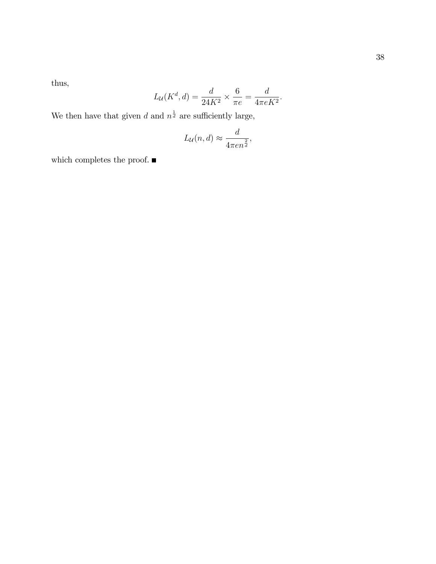38

thus,

$$
L_{\mathcal{U}}(K^d, d) = \frac{d}{24K^2} \times \frac{6}{\pi e} = \frac{d}{4\pi eK^2}.
$$

We then have that given d and  $n^{\frac{1}{d}}$  are sufficiently large,

$$
L_{\mathcal{U}}(n,d) \approx \frac{d}{4\pi en^{\frac{2}{d}}},
$$

which completes the proof.  $\blacksquare$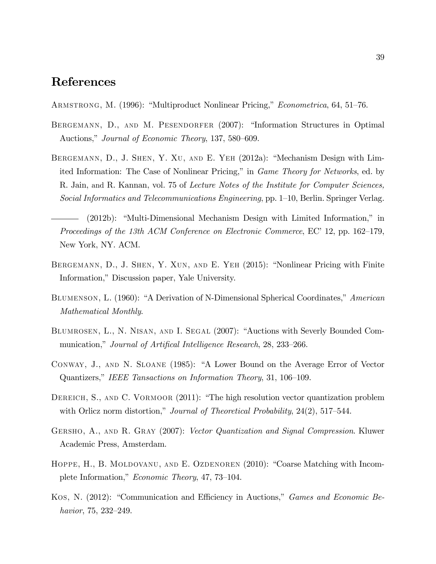## References

ARMSTRONG, M. (1996): "Multiproduct Nonlinear Pricing," *Econometrica*, 64, 51–76.

- BERGEMANN, D., AND M. PESENDORFER (2007): "Information Structures in Optimal Auctions," Journal of Economic Theory, 137, 580–609.
- BERGEMANN, D., J. SHEN, Y. XU, AND E. YEH  $(2012a)$ : "Mechanism Design with Limited Information: The Case of Nonlinear Pricing," in *Game Theory for Networks*, ed. by R. Jain, and R. Kannan, vol. 75 of Lecture Notes of the Institute for Computer Sciences, Social Informatics and Telecommunications Engineering, pp.  $1-10$ , Berlin. Springer Verlag.
	- $(2012b)$ : "Multi-Dimensional Mechanism Design with Limited Information," in Proceedings of the 13th ACM Conference on Electronic Commerce, EC<sup> $\cdot$ </sup> 12, pp. 162–179, New York, NY. ACM.
- BERGEMANN, D., J. SHEN, Y. XUN, AND E. YEH (2015): "Nonlinear Pricing with Finite Information," Discussion paper, Yale University.
- BLUMENSON, L. (1960): "A Derivation of N-Dimensional Spherical Coordinates," American Mathematical Monthly.
- BLUMROSEN, L., N. NISAN, AND I. SEGAL (2007): "Auctions with Severly Bounded Communication," Journal of Artifical Intelligence Research, 28, 233–266.
- CONWAY, J., AND N. SLOANE (1985): "A Lower Bound on the Average Error of Vector Quantizers," IEEE Tansactions on Information Theory, 31, 106–109.
- DEREICH, S., AND C. VORMOOR (2011): "The high resolution vector quantization problem with Orlicz norm distortion," Journal of Theoretical Probability,  $24(2)$ , 517–544.
- Gersho, A., and R. Gray (2007): Vector Quantization and Signal Compression. Kluwer Academic Press, Amsterdam.
- HOPPE, H., B. MOLDOVANU, AND E. OZDENOREN (2010): "Coarse Matching with Incomplete Information," Economic Theory, 47, 73–104.
- Kos, N. (2012): "Communication and Efficiency in Auctions," *Games and Economic Be*havior, 75, 232–249.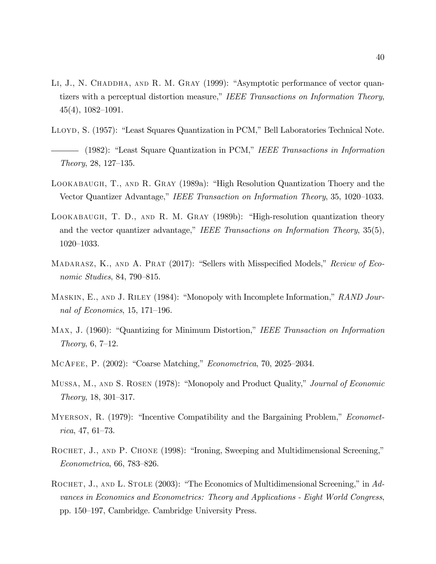- LI, J., N. CHADDHA, AND R. M. GRAY (1999): "Asymptotic performance of vector quantizers with a perceptual distortion measure," IEEE Transactions on Information Theory,  $45(4)$ ,  $1082-1091$ .
- LLOYD, S. (1957): "Least Squares Quantization in PCM," Bell Laboratories Technical Note.
- $-$  (1982): "Least Square Quantization in PCM," IEEE Transactions in Information  $Theory, 28, 127–135.$
- LOOKABAUGH, T., AND R. GRAY (1989a): "High Resolution Quantization Thoery and the Vector Quantizer Advantage," IEEE Transaction on Information Theory, 35, 1020–1033.
- LOOKABAUGH, T. D., AND R. M. GRAY  $(1989b)$ : "High-resolution quantization theory and the vector quantizer advantage," IEEE Transactions on Information Theory,  $35(5)$ ,  $1020 - 1033.$
- MADARASZ, K., AND A. PRAT  $(2017)$ : "Sellers with Misspecified Models," Review of Economic Studies, 84, 790–815.
- MASKIN, E., AND J. RILEY (1984): "Monopoly with Incomplete Information," RAND Journal of Economics, 15, 171–196.
- MAX, J. (1960): "Quantizing for Minimum Distortion," IEEE Transaction on Information Theory,  $6, 7-12$ .
- MCAFEE, P.  $(2002)$ : "Coarse Matching," *Econometrica*, 70, 2025–2034.
- Mussa, M., AND S. ROSEN (1978): "Monopoly and Product Quality," Journal of Economic  $Theory, 18, 301–317.$
- MYERSON, R. (1979): "Incentive Compatibility and the Bargaining Problem," *Economet* $rica, 47, 61–73.$
- ROCHET, J., AND P. CHONE (1998): "Ironing, Sweeping and Multidimensional Screening,"  $Econometrica, 66, 783–826.$
- ROCHET, J., AND L. STOLE  $(2003)$ : "The Economics of Multidimensional Screening," in Advances in Economics and Econometrics: Theory and Applications - Eight World Congress, pp. 150–197, Cambridge. Cambridge University Press.